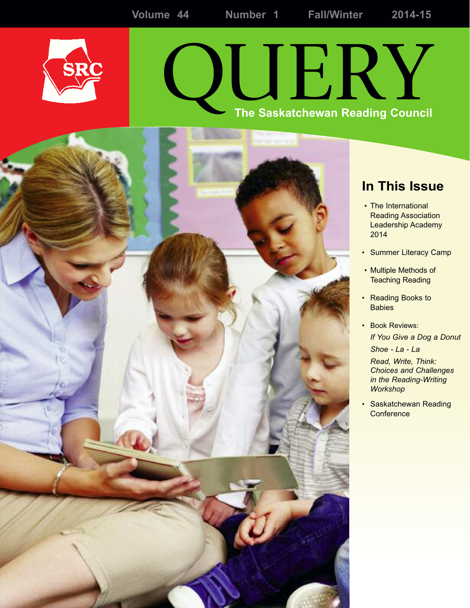

# QUERY **The Saskatchewan Reading Council**



- The International Reading Association Leadership Academy 2014
- **Summer Literacy Camp**
- Multiple Methods of Teaching Reading
- Reading Books to **Babies**
- Book Reviews: *If You Give a Dog a Donut Shoe - La - La Read, Write, Think:*
	- *Choices and Challenges in the Reading-Writing Workshop*
- *•* Saskatchewan Reading **Conference**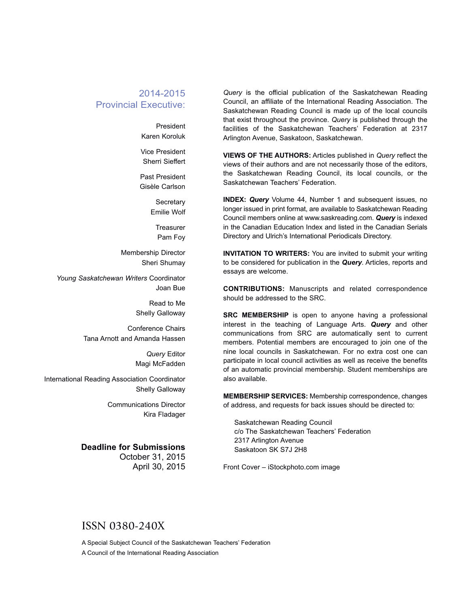#### 2014-2015 Provincial Executive:

President Karen Koroluk

Vice President Sherri Sieffert

Past President Gisèle Carlson

> **Secretary** Emilie Wolf

> > **Treasurer** Pam Foy

Membership Director Sheri Shumay

*Young Saskatchewan Writers* Coordinator Joan Bue

> Read to Me Shelly Galloway

Conference Chairs Tana Arnott and Amanda Hassen

> *Query* Editor Magi McFadden

International Reading Association Coordinator Shelly Galloway

> Communications Director Kira Fladager

#### **Deadline for Submissions** October 31, 2015 April 30, 2015

*Query* is the official publication of the Saskatchewan Reading Council, an affiliate of the International Reading Association. The Saskatchewan Reading Council is made up of the local councils that exist throughout the province. *Query* is published through the facilities of the Saskatchewan Teachers' Federation at 2317 Arlington Avenue, Saskatoon, Saskatchewan.

**VIEWS OF THE AUTHORS:** Articles published in *Query* reflect the views of their authors and are not necessarily those of the editors, the Saskatchewan Reading Council, its local councils, or the Saskatchewan Teachers' Federation.

**INDEX:** *Query* Volume 44, Number 1 and subsequent issues, no longer issued in print format, are available to Saskatchewan Reading Council members online at www.saskreading.com. *Query* is indexed in the Canadian Education Index and listed in the Canadian Serials Directory and Ulrich's International Periodicals Directory.

**INVITATION TO WRITERS:** You are invited to submit your writing to be considered for publication in the *Query*. Articles, reports and essays are welcome.

**CONTRIBUTIONS:** Manuscripts and related correspondence should be addressed to the SRC.

**SRC MEMBERSHIP** is open to anyone having a professional interest in the teaching of Language Arts. *Query* and other communications from SRC are automatically sent to current members. Potential members are encouraged to join one of the nine local councils in Saskatchewan. For no extra cost one can participate in local council activities as well as receive the benefits of an automatic provincial membership. Student memberships are also available.

**MEMBERSHIP SERVICES:** Membership correspondence, changes of address, and requests for back issues should be directed to:

Saskatchewan Reading Council c/o The Saskatchewan Teachers' Federation 2317 Arlington Avenue Saskatoon SK S7J 2H8

Front Cover – iStockphoto.com image

#### ISSN 0380-240X

A Special Subject Council of the Saskatchewan Teachers' Federation A Council of the International Reading Association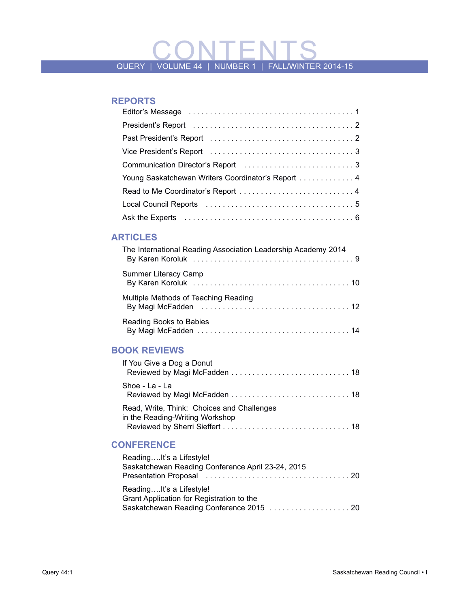# QUERY | VOLUME 44 | NUMBER 1 | FALL/WINTER 2014-15

#### **REPORTS**

| Young Saskatchewan Writers Coordinator's Report  4 |
|----------------------------------------------------|
|                                                    |
|                                                    |
|                                                    |

#### **ARTIClES**

| The International Reading Association Leadership Academy 2014 |
|---------------------------------------------------------------|
| <b>Summer Literacy Camp</b>                                   |
| Multiple Methods of Teaching Reading                          |
| Reading Books to Babies                                       |

#### **BOOk REVIEWS**

| If You Give a Dog a Donut                                                     |  |
|-------------------------------------------------------------------------------|--|
| Shoe - La - La                                                                |  |
| Read, Write, Think: Choices and Challenges<br>in the Reading-Writing Workshop |  |

#### **CONFERENCE**

| ReadingIt's a Lifestyle!<br>Saskatchewan Reading Conference April 23-24, 2015 |  |
|-------------------------------------------------------------------------------|--|
| ReadingIt's a Lifestyle!                                                      |  |
| Grant Application for Registration to the                                     |  |
|                                                                               |  |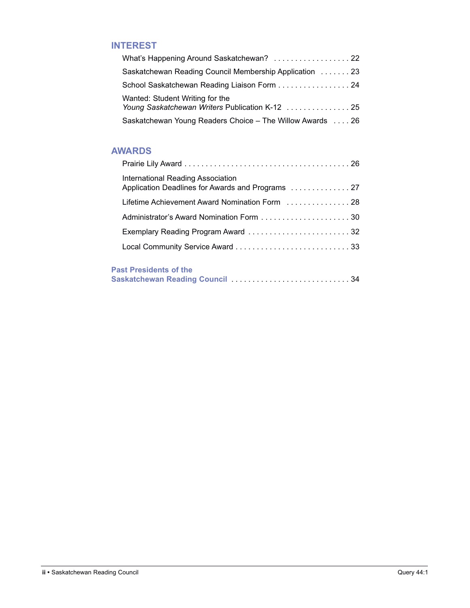#### **INTEREST**

| What's Happening Around Saskatchewan?  22                                          |  |
|------------------------------------------------------------------------------------|--|
| Saskatchewan Reading Council Membership Application 23                             |  |
| School Saskatchewan Reading Liaison Form 24                                        |  |
| Wanted: Student Writing for the<br>Young Saskatchewan Writers Publication K-12  25 |  |
| Saskatchewan Young Readers Choice - The Willow Awards  26                          |  |

#### **AWARDS**

| International Reading Association<br>Application Deadlines for Awards and Programs  27 |
|----------------------------------------------------------------------------------------|
| Lifetime Achievement Award Nomination Form  28                                         |
|                                                                                        |
|                                                                                        |
|                                                                                        |
|                                                                                        |

#### **Past Presidents of the**

| i usti itsintinu vitin |  |  |  |  |  |
|------------------------|--|--|--|--|--|
|                        |  |  |  |  |  |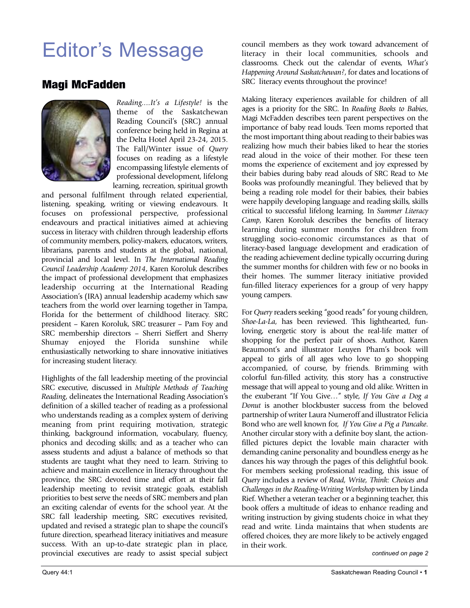## Editor's Message

### Magi McFadden



*Reading....It's a Lifestyle!* is the theme of the Saskatchewan Reading Council's (SRC) annual conference being held in Regina at the Delta Hotel April 23-24, 2015. The Fall/Winter issue of *Query* focuses on reading as a lifestyle encompassing lifestyle elements of professional development, lifelong learning, recreation, spiritual growth

and personal fulfilment through related experiential, listening, speaking, writing or viewing endeavours. It focuses on professional perspective, professional endeavours and practical initiatives aimed at achieving success in literacy with children through leadership efforts of community members, policy-makers, educators, writers, librarians, parents and students at the global, national, provincial and local level. In *The International Reading Council Leadership Academy 2014*, Karen Koroluk describes the impact of professional development that emphasizes leadership occurring at the International Reading Association's (IRA) annual leadership academy which saw teachers from the world over learning together in Tampa, Florida for the betterment of childhood literacy. SRC president – Karen Koroluk, SRC treasurer – Pam Foy and SRC membership directors – Sherri Sieffert and Sherry Shumay enjoyed the Florida sunshine while enthusiastically networking to share innovative initiatives for increasing student literacy.

Highlights of the fall leadership meeting of the provincial SRC executive, discussed in *Multiple Methods of Teaching Reading*, delineates the International Reading Association's definition of a skilled teacher of reading as a professional who understands reading as a complex system of deriving meaning from print requiring motivation, strategic thinking, background information, vocabulary, fluency, phonics and decoding skills; and as a teacher who can assess students and adjust a balance of methods so that students are taught what they need to learn. Striving to achieve and maintain excellence in literacy throughout the province, the SRC devoted time and effort at their fall leadership meeting to revisit strategic goals, establish priorities to best serve the needs of SRC members and plan an exciting calendar of events for the school year. At the SRC fall leadership meeting, SRC executives revisited, updated and revised a strategic plan to shape the council's future direction, spearhead literacy initiatives and measure success. With an up-to-date strategic plan in place, provincial executives are ready to assist special subject

council members as they work toward advancement of literacy in their local communities, schools and classrooms. Check out the calendar of events, *What's Happening Around Saskatchewan?*, for dates and locations of SRC literacy events throughout the province!

Making literacy experiences available for children of all ages is a priority for the SRC. In *Reading Books to Babies*, Magi McFadden describes teen parent perspectives on the importance of baby read louds. Teen moms reported that the most important thing about reading to their babies was realizing how much their babies liked to hear the stories read aloud in the voice of their mother. For these teen moms the experience of excitement and joy expressed by their babies during baby read alouds of SRC Read to Me Books was profoundly meaningful. They believed that by being a reading role model for their babies, their babies were happily developing language and reading skills, skills critical to successful lifelong learning. In *Summer Literacy Camp*, Karen Koroluk describes the benefits of literacy learning during summer months for children from struggling socio-economic circumstances as that of literacy-based language development and eradication of the reading achievement decline typically occurring during the summer months for children with few or no books in their homes. The summer literacy initiative provided fun-filled literacy experiences for a group of very happy young campers.

For *Query* readers seeking "good reads" for young children, *Shoe-La-La*, has been reviewed. This lighthearted, funloving, energetic story is about the real-life matter of shopping for the perfect pair of shoes. Author, Karen Beaumont's and illustrator Leuyen Pham's book will appeal to girls of all ages who love to go shopping accompanied, of course, by friends. Brimming with colorful fun-filled activity, this story has a constructive message that will appeal to young and old alike. Written in the exuberant "If You Give…" style, *If You Give a Dog a Donut* is another blockbuster success from the beloved partnership of writer Laura Numeroff and illustrator Felicia Bond who are well known for, *If You Give a Pig a Pancake*. Another circular story with a definite boy slant, the actionfilled pictures depict the lovable main character with demanding canine personality and boundless energy as he dances his way through the pages of this delightful book. For members seeking professional reading, this issue of *Query* includes a review of *Read, Write, Think: Choices and Challenges in the Reading-Writing Workshop* written by Linda Rief. Whether a veteran teacher or a beginning teacher, this book offers a multitude of ideas to enhance reading and writing instruction by giving students choice in what they read and write. Linda maintains that when students are offered choices, they are more likely to be actively engaged in their work.

*continued on page 2*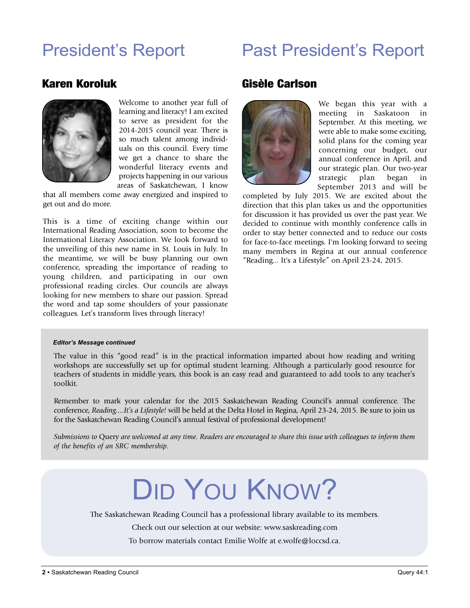## President's Report

## Past President's Report

#### Karen Koroluk



Welcome to another year full of learning and literacy! I am excited to serve as president for the 2014-2015 council year. There is so much talent among individuals on this council. Every time we get a chance to share the wonderful literacy events and projects happening in our various areas of Saskatchewan, I know

that all members come away energized and inspired to get out and do more.

This is a time of exciting change within our International Reading Association, soon to become the International Literacy Association. We look forward to the unveiling of this new name in St. Louis in July. In the meantime, we will be busy planning our own conference, spreading the importance of reading to young children, and participating in our own professional reading circles. Our councils are always looking for new members to share our passion. Spread the word and tap some shoulders of your passionate colleagues. Let's transform lives through literacy!

#### Gisèle Carlson



We began this year with a meeting in Saskatoon in September. At this meeting, we were able to make some exciting, solid plans for the coming year concerning our budget, our annual conference in April, and our strategic plan. Our two-year strategic plan began in September 2013 and will be

completed by July 2015. We are excited about the direction that this plan takes us and the opportunities for discussion it has provided us over the past year. We decided to continue with monthly conference calls in order to stay better connected and to reduce our costs for face-to-face meetings. I'm looking forward to seeing many members in Regina at our annual conference "Reading... It's a Lifestyle" on April 23-24, 2015.

#### *Editor's Message continued*

The value in this "good read" is in the practical information imparted about how reading and writing workshops are successfully set up for optimal student learning. Although a particularly good resource for teachers of students in middle years, this book is an easy read and guaranteed to add tools to any teacher's toolkit.

Remember to mark your calendar for the 2015 Saskatchewan Reading Council's annual conference. The conference, *Reading....It's a Lifestyle!* will be held at the Delta Hotel in Regina, April 23-24, 2015. Be sure to join us for the Saskatchewan Reading Council's annual festival of professional development!

Submissions to Query are welcomed at any time. Readers are encouraged to share this issue with colleagues to inform them *of the benefits of an SRC membership.*

# DID YOU KNOW?

The Saskatchewan Reading Council has a professional library available to its members.

Check out our selection at our website: www.saskreading.com

To borrow materials contact Emilie Wolfe at e.wolfe@loccsd.ca.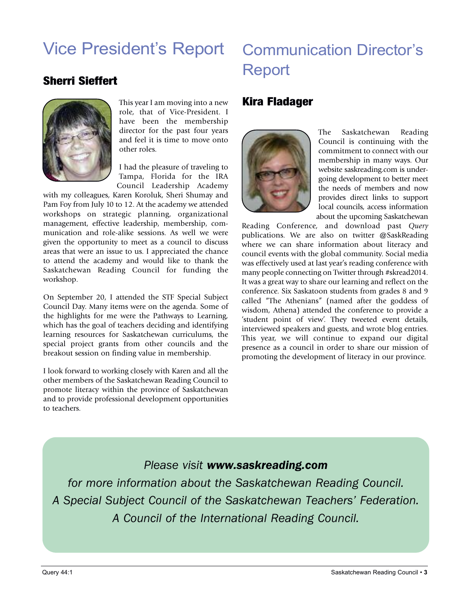## Vice President's Report Communication Director's Report

### Sherri Sieffert



This year I am moving into a new role, that of Vice-President. I have been the membership director for the past four years and feel it is time to move onto other roles.

I had the pleasure of traveling to Tampa, Florida for the IRA Council Leadership Academy

with my colleagues, Karen Koroluk, Sheri Shumay and Pam Foy from July 10 to 12. At the academy we attended workshops on strategic planning, organizational management, effective leadership, membership, communication and role-alike sessions. As well we were given the opportunity to meet as a council to discuss areas that were an issue to us. I appreciated the chance to attend the academy and would like to thank the Saskatchewan Reading Council for funding the workshop.

On September 20, I attended the STF Special Subject Council Day. Many items were on the agenda. Some of the highlights for me were the Pathways to Learning, which has the goal of teachers deciding and identifying learning resources for Saskatchewan curriculums, the special project grants from other councils and the breakout session on finding value in membership.

I look forward to working closely with Karen and all the other members of the Saskatchewan Reading Council to promote literacy within the province of Saskatchewan and to provide professional development opportunities to teachers.

#### Kira Fladager



The Saskatchewan Reading Council is continuing with the commitment to connect with our membership in many ways. Our website saskreading.com is undergoing development to better meet the needs of members and now provides direct links to support local councils, access information about the upcoming Saskatchewan

Reading Conference, and download past *Query* publications. We are also on twitter @SaskReading where we can share information about literacy and council events with the global community. Social media was effectively used at last year's reading conference with many people connecting on Twitter through #skread2014. It was a great way to share our learning and reflect on the conference. Six Saskatoon students from grades 8 and 9 called "The Athenians" (named after the goddess of wisdom, Athena) attended the conference to provide a 'student point of view'. They tweeted event details, interviewed speakers and guests, and wrote blog entries. This year, we will continue to expand our digital presence as a council in order to share our mission of promoting the development of literacy in our province.

#### *Please visit www.saskreading.com*

*for more information about the Saskatchewan Reading Council. A Special Subject Council of the Saskatchewan Teachers' Federation. A Council of the International Reading Council.*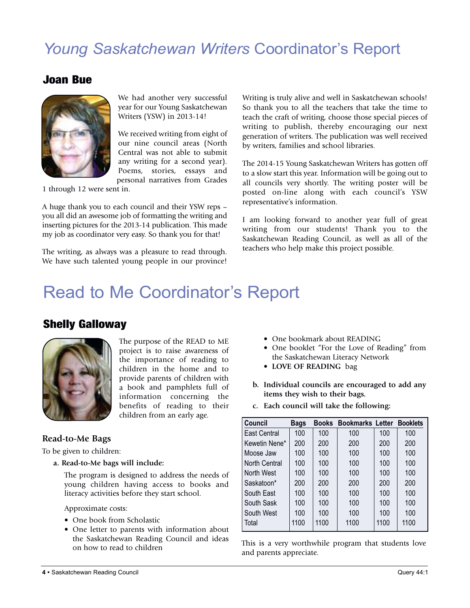## *Young Saskatchewan Writers* Coordinator's Report

#### Joan Bue



We had another very successful year for our Young Saskatchewan Writers (YSW) in 2013-14!

We received writing from eight of our nine council areas (North Central was not able to submit any writing for a second year). Poems, stories, essays and personal narratives from Grades

1 through 12 were sent in.

A huge thank you to each council and their YSW reps – you all did an awesome job of formatting the writing and inserting pictures for the 2013-14 publication. This made my job as coordinator very easy. So thank you for that!

The writing, as always was a pleasure to read through. We have such talented young people in our province! Writing is truly alive and well in Saskatchewan schools! So thank you to all the teachers that take the time to teach the craft of writing, choose those special pieces of writing to publish, thereby encouraging our next generation of writers. The publication was well received by writers, families and school libraries.

The 2014-15 Young Saskatchewan Writers has gotten off to a slow start this year. Information will be going out to all councils very shortly. The writing poster will be posted on-line along with each council's YSW representative's information.

I am looking forward to another year full of great writing from our students! Thank you to the Saskatchewan Reading Council, as well as all of the teachers who help make this project possible.

## Read to Me Coordinator's Report

#### Shelly Galloway



The purpose of the READ to ME project is to raise awareness of the importance of reading to children in the home and to provide parents of children with <sup>a</sup> book and pamphlets full of information concerning the benefits of reading to their children from an early age.

#### **Read-to-Me Bags**

To be given to children:

**a. Read-to-Me bags will include:**

The program is designed to address the needs of young children having access to books and literacy activities before they start school.

Approximate costs:

- One book from Scholastic
- One letter to parents with information about the Saskatchewan Reading Council and ideas on how to read to children
- One bookmark about READING
- One booklet "For the Love of Reading" from the Saskatchewan Literacy Network
- **LOVE OF READING** bag
- **b. Individual councils are encouraged to add any items they wish to their bags.**
- **c. Each council will take the following:**

| <b>Council</b>      | <b>Bags</b> | <b>Books</b> | <b>Bookmarks Letter</b> |      | <b>Booklets</b> |
|---------------------|-------------|--------------|-------------------------|------|-----------------|
| <b>East Central</b> | 100         | 100          | 100                     | 100  | 100             |
| Kewetin Nene*       | 200         | 200          | 200                     | 200  | 200             |
| l Moose Jaw         | 100         | 100          | 100                     | 100  | 100             |
| l North Central     | 100         | 100          | 100                     | 100  | 100             |
| l North West        | 100         | 100          | 100                     | 100  | 100             |
| Saskatoon*          | 200         | 200          | 200                     | 200  | 200             |
| South East          | 100         | 100          | 100                     | 100  | 100             |
| South Sask          | 100         | 100          | 100                     | 100  | 100             |
| South West          | 100         | 100          | 100                     | 100  | 100             |
| Total               | 1100        | 1100         | 1100                    | 1100 | 1100            |

This is a very worthwhile program that students love and parents appreciate.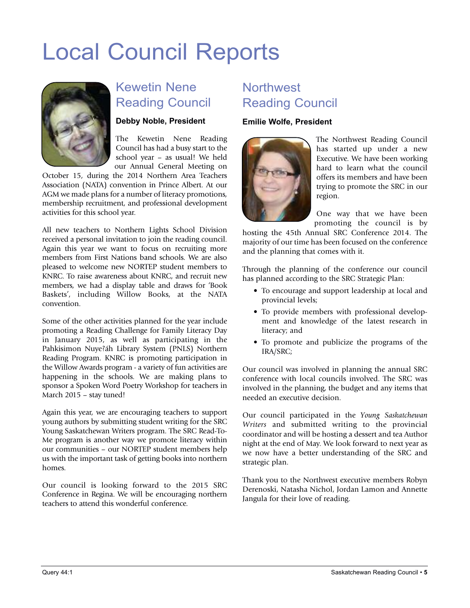## Local Council Reports



### Kewetin Nene Reading Council

#### **Debby Noble, President**

The Kewetin Nene Reading Council has had a busy start to the school year – as usual! We held our Annual General Meeting on

October 15, during the 2014 Northern Area Teachers Association (NATA) convention in Prince Albert. At our AGM we made plans for a number of literacy promotions, membership recruitment, and professional development activities for this school year.

All new teachers to Northern Lights School Division received a personal invitation to join the reading council. Again this year we want to focus on recruiting more members from First Nations band schools. We are also pleased to welcome new NORTEP student members to KNRC. To raise awareness about KNRC, and recruit new members, we had a display table and draws for 'Book Baskets', including Willow Books, at the NATA convention.

Some of the other activities planned for the year include promoting a Reading Challenge for Family Literacy Day in January 2015, as well as participating in the Pahkisimon Nuye?áh Library System (PNLS) Northern Reading Program. KNRC is promoting participation in the Willow Awards program - a variety of fun activities are happening in the schools. We are making plans to sponsor a Spoken Word Poetry Workshop for teachers in March 2015 – stay tuned!

Again this year, we are encouraging teachers to support young authors by submitting student writing for the SRC Young Saskatchewan Writers program. The SRC Read-To-Me program is another way we promote literacy within our communities – our NORTEP student members help us with the important task of getting books into northern homes.

Our council is looking forward to the 2015 SRC Conference in Regina. We will be encouraging northern teachers to attend this wonderful conference.

## **Northwest** Reading Council

#### **Emilie Wolfe, President**



The Northwest Reading Council has started up under a new Executive. We have been working hard to learn what the council offers its members and have been trying to promote the SRC in our region.

One way that we have been promoting the council is by

hosting the 45th Annual SRC Conference 2014. The majority of our time has been focused on the conference and the planning that comes with it.

Through the planning of the conference our council has planned according to the SRC Strategic Plan:

- To encourage and support leadership at local and provincial levels;
- To provide members with professional development and knowledge of the latest research in literacy; and
- To promote and publicize the programs of the IRA/SRC;

Our council was involved in planning the annual SRC conference with local councils involved. The SRC was involved in the planning, the budget and any items that needed an executive decision.

Our council participated in the *Young Saskatchewan Writers* and submitted writing to the provincial coordinator and will be hosting a dessert and tea Author night at the end of May. We look forward to next year as we now have a better understanding of the SRC and strategic plan.

Thank you to the Northwest executive members Robyn Derenoski, Natasha Nichol, Jordan Lamon and Annette Jangula for their love of reading.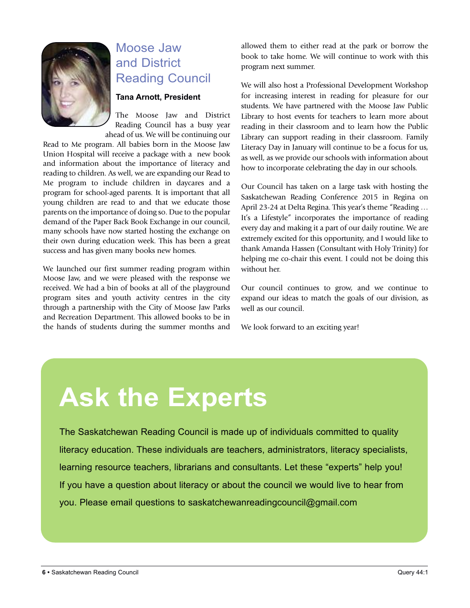

### Moose Jaw and District Reading Council

#### **Tana Arnott, President**

The Moose Jaw and District Reading Council has a busy year ahead of us. We will be continuing our

Read to Me program. All babies born in the Moose Jaw Union Hospital will receive a package with a new book and information about the importance of literacy and reading to children. As well, we are expanding our Read to Me program to include children in daycares and a program for school-aged parents. It is important that all young children are read to and that we educate those parents on the importance of doing so. Due to the popular demand of the Paper Back Book Exchange in our council, many schools have now started hosting the exchange on their own during education week. This has been a great success and has given many books new homes.

We launched our first summer reading program within Moose Jaw, and we were pleased with the response we received. We had a bin of books at all of the playground program sites and youth activity centres in the city through a partnership with the City of Moose Jaw Parks and Recreation Department. This allowed books to be in the hands of students during the summer months and allowed them to either read at the park or borrow the book to take home. We will continue to work with this program next summer.

We will also host a Professional Development Workshop for increasing interest in reading for pleasure for our students. We have partnered with the Moose Jaw Public Library to host events for teachers to learn more about reading in their classroom and to learn how the Public Library can support reading in their classroom. Family Literacy Day in January will continue to be a focus for us, as well, as we provide our schools with information about how to incorporate celebrating the day in our schools.

Our Council has taken on a large task with hosting the Saskatchewan Reading Conference 2015 in Regina on April 23-24 at Delta Regina. This year's theme "Reading … It's a Lifestyle" incorporates the importance of reading every day and making it a part of our daily routine. We are extremely excited for this opportunity, and I would like to thank Amanda Hassen (Consultant with Holy Trinity) for helping me co-chair this event. I could not be doing this without her.

Our council continues to grow, and we continue to expand our ideas to match the goals of our division, as well as our council.

We look forward to an exciting year!

# **Ask the Experts**

The Saskatchewan Reading Council is made up of individuals committed to quality literacy education. These individuals are teachers, administrators, literacy specialists, learning resource teachers, librarians and consultants. Let these "experts" help you! If you have a question about literacy or about the council we would live to hear from you. Please email questions to saskatchewanreadingcouncil@gmail.com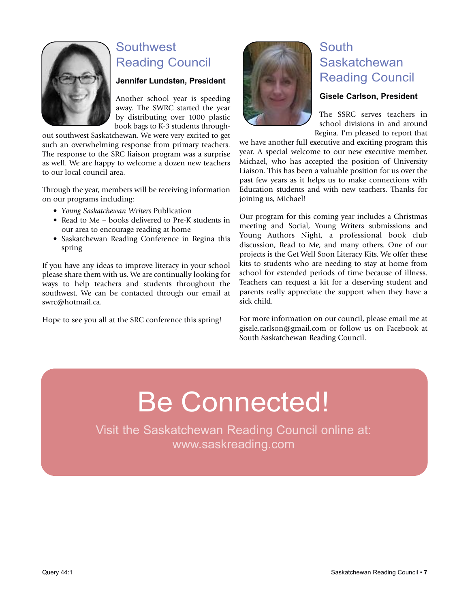

## **Southwest** Reading Council

#### **Jennifer lundsten, President**

Another school year is speeding away. The SWRC started the year by distributing over 1000 plastic book bags to K-3 students through-

out southwest Saskatchewan. We were very excited to get such an overwhelming response from primary teachers. The response to the SRC liaison program was a surprise as well. We are happy to welcome a dozen new teachers to our local council area.

Through the year, members will be receiving information on our programs including:

- *Young Saskatchewan Writers* Publication
- Read to Me books delivered to Pre-K students in our area to encourage reading at home
- Saskatchewan Reading Conference in Regina this spring

If you have any ideas to improve literacy in your school please share them with us. We are continually looking for ways to help teachers and students throughout the southwest. We can be contacted through our email at swrc@hotmail.ca.

Hope to see you all at the SRC conference this spring!



### **South** Saskatchewan Reading Council

#### **Gisele Carlson, President**

The SSRC serves teachers in school divisions in and around Regina. I'm pleased to report that

we have another full executive and exciting program this year. A special welcome to our new executive member, Michael, who has accepted the position of University Liaison. This has been a valuable position for us over the past few years as it helps us to make connections with Education students and with new teachers. Thanks for joining us, Michael!

Our program for this coming year includes a Christmas meeting and Social, Young Writers submissions and Young Authors Night, a professional book club discussion, Read to Me, and many others. One of our projects is the Get Well Soon Literacy Kits. We offer these kits to students who are needing to stay at home from school for extended periods of time because of illness. Teachers can request a kit for a deserving student and parents really appreciate the support when they have a sick child.

For more information on our council, please email me at gisele.carlson@gmail.com or follow us on Facebook at South Saskatchewan Reading Council.

# Be Connected!

Visit the Saskatchewan Reading Council online at: www.saskreading.com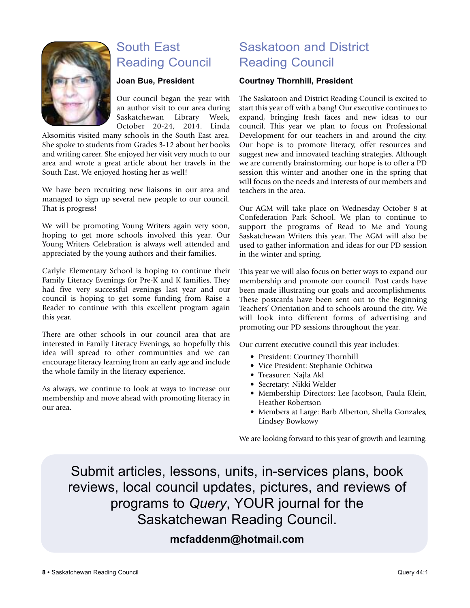

## South East Reading Council

#### **Joan Bue, President**

Our council began the year with an author visit to our area during Saskatchewan Library Week, October 20-24, 2014. Linda

Aksomitis visited many schools in the South East area. She spoke to students from Grades 3-12 about her books and writing career. She enjoyed her visit very much to our area and wrote a great article about her travels in the South East. We enjoyed hosting her as well!

We have been recruiting new liaisons in our area and managed to sign up several new people to our council. That is progress!

We will be promoting Young Writers again very soon, hoping to get more schools involved this year. Our Young Writers Celebration is always well attended and appreciated by the young authors and their families.

Carlyle Elementary School is hoping to continue their Family Literacy Evenings for Pre-K and K families. They had five very successful evenings last year and our council is hoping to get some funding from Raise a Reader to continue with this excellent program again this year.

There are other schools in our council area that are interested in Family Literacy Evenings, so hopefully this idea will spread to other communities and we can encourage literacy learning from an early age and include the whole family in the literacy experience.

As always, we continue to look at ways to increase our membership and move ahead with promoting literacy in our area.

## Saskatoon and District Reading Council

#### **Courtney Thornhill, President**

The Saskatoon and District Reading Council is excited to start this year off with a bang! Our executive continues to expand, bringing fresh faces and new ideas to our council. This year we plan to focus on Professional Development for our teachers in and around the city. Our hope is to promote literacy, offer resources and suggest new and innovated teaching strategies. Although we are currently brainstorming, our hope is to offer a PD session this winter and another one in the spring that will focus on the needs and interests of our members and teachers in the area.

Our AGM will take place on Wednesday October 8 at Confederation Park School. We plan to continue to support the programs of Read to Me and Young Saskatchewan Writers this year. The AGM will also be used to gather information and ideas for our PD session in the winter and spring.

This year we will also focus on better ways to expand our membership and promote our council. Post cards have been made illustrating our goals and accomplishments. These postcards have been sent out to the Beginning Teachers' Orientation and to schools around the city. We will look into different forms of advertising and promoting our PD sessions throughout the year.

Our current executive council this year includes:

- President: Courtney Thornhill
- Vice President: Stephanie Ochitwa
- Treasurer: Najla Akl
- Secretary: Nikki Welder
- Membership Directors: Lee Jacobson, Paula Klein, Heather Robertson
- Members at Large: Barb Alberton, Shella Gonzales, Lindsey Bowkowy

We are looking forward to this year of growth and learning.

Submit articles, lessons, units, in-services plans, book reviews, local council updates, pictures, and reviews of programs to *Query*, YOUR journal for the Saskatchewan Reading Council.

#### **mcfaddenm@hotmail.com**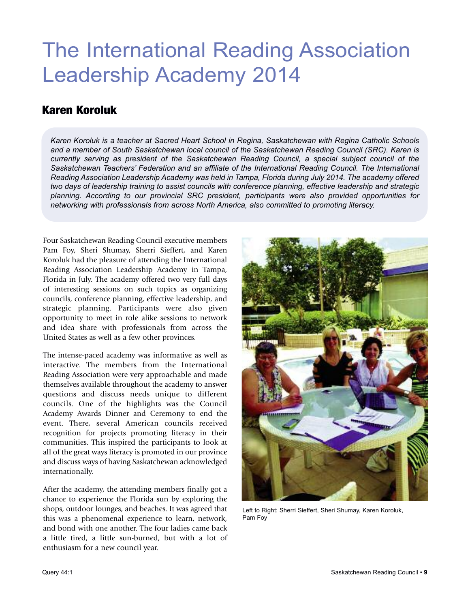## The International Reading Association Leadership Academy 2014

### Karen Koroluk

*Karen Koroluk is a teacher at Sacred Heart School in Regina, Saskatchewan with Regina Catholic Schools and a member of South Saskatchewan local council of the Saskatchewan Reading Council (SRC). Karen is currently serving as president of the Saskatchewan Reading Council, a special subject council of the Saskatchewan Teachers' Federation and an affiliate of the International Reading Council. The International Reading Association Leadership Academy was held in Tampa, Florida during July 2014. The academy offered two days of leadership training to assist councils with conference planning, effective leadership and strategic planning. According to our provincial SRC president, participants were also provided opportunities for networking with professionals from across North America, also committed to promoting literacy.*

Four Saskatchewan Reading Council executive members Pam Foy, Sheri Shumay, Sherri Sieffert, and Karen Koroluk had the pleasure of attending the International Reading Association Leadership Academy in Tampa, Florida in July. The academy offered two very full days of interesting sessions on such topics as organizing councils, conference planning, effective leadership, and strategic planning. Participants were also given opportunity to meet in role alike sessions to network and idea share with professionals from across the United States as well as a few other provinces.

The intense-paced academy was informative as well as interactive. The members from the International Reading Association were very approachable and made themselves available throughout the academy to answer questions and discuss needs unique to different councils. One of the highlights was the Council Academy Awards Dinner and Ceremony to end the event. There, several American councils received recognition for projects promoting literacy in their communities. This inspired the participants to look at all of the great ways literacy is promoted in our province and discuss ways of having Saskatchewan acknowledged internationally.

After the academy, the attending members finally got a chance to experience the Florida sun by exploring the shops, outdoor lounges, and beaches. It was agreed that this was a phenomenal experience to learn, network, and bond with one another. The four ladies came back a little tired, a little sun-burned, but with a lot of enthusiasm for a new council year.



Left to Right: Sherri Sieffert, Sheri Shumay, Karen Koroluk, Pam Foy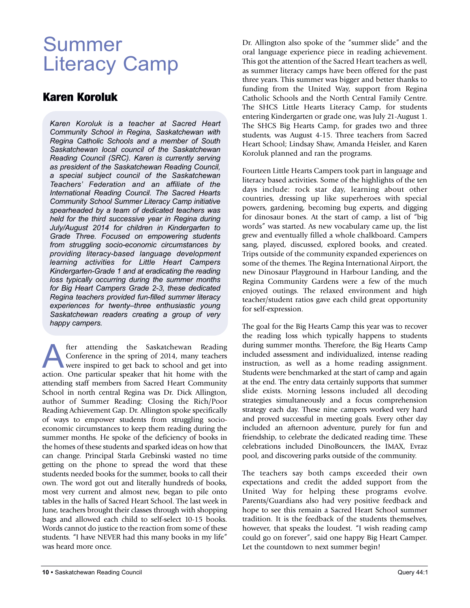## Summer Literacy Camp

### Karen Koroluk

*Karen Koroluk is a teacher at Sacred Heart Community School in Regina, Saskatchewan with Regina Catholic Schools and a member of South Saskatchewan local council of the Saskatchewan Reading Council (SRC). Karen is currently serving as president of the Saskatchewan Reading Council, a special subject council of the Saskatchewan Teachers' Federation and an affiliate of the International Reading Council. The Sacred Hearts Community School Summer Literacy Camp initiative spearheaded by a team of dedicated teachers was held for the third successive year in Regina during July/August 2014 for children in Kindergarten to Grade Three. Focused on empowering students from struggling socio-economic circumstances by providing literacy-based language development learning activities for Little Heart Campers Kindergarten-Grade 1 and at eradicating the reading loss typically occurring during the summer months for Big Heart Campers Grade 2-3, these dedicated Regina teachers provided fun-filled summer literacy experiences for twenty–three enthusiastic young Saskatchewan readers creating a group of very happy campers.*

**A** fter attending the Saskatchewan Reading<br>Conference in the spring of 2014, many teachers<br>were inspired to get back to school and get into<br>action. One particular speaker that hit home with the Conference in the spring of 2014, many teachers were inspired to get back to school and get into action. One particular speaker that hit home with the attending staff members from Sacred Heart Community School in north central Regina was Dr. Dick Allington, author of Summer Reading: Closing the Rich/Poor Reading Achievement Gap. Dr. Allington spoke specifically of ways to empower students from struggling socioeconomic circumstances to keep them reading during the summer months. He spoke of the deficiency of books in the homes of these students and sparked ideas on how that can change. Principal Starla Grebinski wasted no time getting on the phone to spread the word that these students needed books for the summer, books to call their own. The word got out and literally hundreds of books, most very current and almost new, began to pile onto tables in the halls of Sacred Heart School. The last week in June, teachers brought their classes through with shopping bags and allowed each child to self-select 10-15 books. Words cannot do justice to the reaction from some of these students. "I have NEVER had this many books in my life" was heard more once.

Dr. Allington also spoke of the "summer slide" and the oral language experience piece in reading achievement. This got the attention of the Sacred Heart teachers as well, as summer literacy camps have been offered for the past three years. This summer was bigger and better thanks to funding from the United Way, support from Regina Catholic Schools and the North Central Family Centre. The SHCS Little Hearts Literacy Camp, for students entering Kindergarten or grade one, was July 21-August 1. The SHCS Big Hearts Camp, for grades two and three students, was August 4-15. Three teachers from Sacred Heart School; Lindsay Shaw, Amanda Heisler, and Karen Koroluk planned and ran the programs.

Fourteen Little Hearts Campers took part in language and literacy based activities. Some of the highlights of the ten days include: rock star day, learning about other countries, dressing up like superheroes with special powers, gardening, becoming bug experts, and digging for dinosaur bones. At the start of camp, a list of "big words" was started. As new vocabulary came up, the list grew and eventually filled a whole chalkboard. Campers sang, played, discussed, explored books, and created. Trips outside of the community expanded experiences on some of the themes. The Regina International Airport, the new Dinosaur Playground in Harbour Landing, and the Regina Community Gardens were a few of the much enjoyed outings. The relaxed environment and high teacher/student ratios gave each child great opportunity for self-expression.

The goal for the Big Hearts Camp this year was to recover the reading loss which typically happens to students during summer months. Therefore, the Big Hearts Camp included assessment and individualized, intense reading instruction, as well as a home reading assignment. Students were benchmarked at the start of camp and again at the end. The entry data certainly supports that summer slide exists. Morning lessons included all decoding strategies simultaneously and a focus comprehension strategy each day. These nine campers worked very hard and proved successful in meeting goals. Every other day included an afternoon adventure, purely for fun and friendship, to celebrate the dedicated reading time. These celebrations included DinoBouncers, the IMAX, Evraz pool, and discovering parks outside of the community.

The teachers say both camps exceeded their own expectations and credit the added support from the United Way for helping these programs evolve. Parents/Guardians also had very positive feedback and hope to see this remain a Sacred Heart School summer tradition. It is the feedback of the students themselves, however, that speaks the loudest. "I wish reading camp could go on forever", said one happy Big Heart Camper. Let the countdown to next summer begin!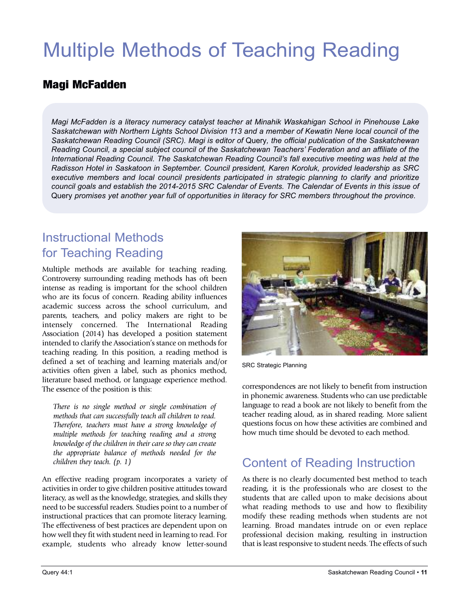## Multiple Methods of Teaching Reading

### Magi McFadden

*Magi McFadden is a literacy numeracy catalyst teacher at Minahik Waskahigan School in Pinehouse Lake Saskatchewan with Northern Lights School Division 113 and a member of Kewatin Nene local council of the Saskatchewan Reading Council (SRC). Magi is editor of* Query*, the official publication of the Saskatchewan Reading Council, a special subject council of the Saskatchewan Teachers' Federation and an affiliate of the International Reading Council. The Saskatchewan Reading Council's fall executive meeting was held at the Radisson Hotel in Saskatoon in September. Council president, Karen Koroluk, provided leadership as SRC executive members and local council presidents participated in strategic planning to clarify and prioritize* council goals and establish the 2014-2015 SRC Calendar of Events. The Calendar of Events in this issue of Query *promises yet another year full of opportunities in literacy for SRC members throughout the province.*

### Instructional Methods for Teaching Reading

Multiple methods are available for teaching reading. Controversy surrounding reading methods has oft been intense as reading is important for the school children who are its focus of concern. Reading ability influences academic success across the school curriculum, and parents, teachers, and policy makers are right to be intensely concerned. The International Reading Association (2014) has developed a position statement intended to clarify the Association's stance on methods for teaching reading. In this position, a reading method is defined a set of teaching and learning materials and/or activities often given a label, such as phonics method, literature based method, or language experience method. The essence of the position is this:

*There is no single method or single combination of methods that can successfully teach all children to read. Therefore, teachers must have a strong knowledge of multiple methods for teaching reading and a strong knowledge of the children in their care so they can create the appropriate balance of methods needed for the children they teach. (p. 1)*

An effective reading program incorporates a variety of activities in order to give children positive attitudes toward literacy, as well as the knowledge, strategies, and skills they need to be successful readers. Studies point to a number of instructional practices that can promote literacy learning. The effectiveness of best practices are dependent upon on how well they fit with student need in learning to read. For example, students who already know letter-sound



SRC Strategic Planning

correspondences are not likely to benefit from instruction in phonemic awareness. Students who can use predictable language to read a book are not likely to benefit from the teacher reading aloud, as in shared reading. More salient questions focus on how these activities are combined and how much time should be devoted to each method.

### Content of Reading Instruction

As there is no clearly documented best method to teach reading, it is the professionals who are closest to the students that are called upon to make decisions about what reading methods to use and how to flexibility modify these reading methods when students are not learning. Broad mandates intrude on or even replace professional decision making, resulting in instruction that is least responsive to student needs. The effects of such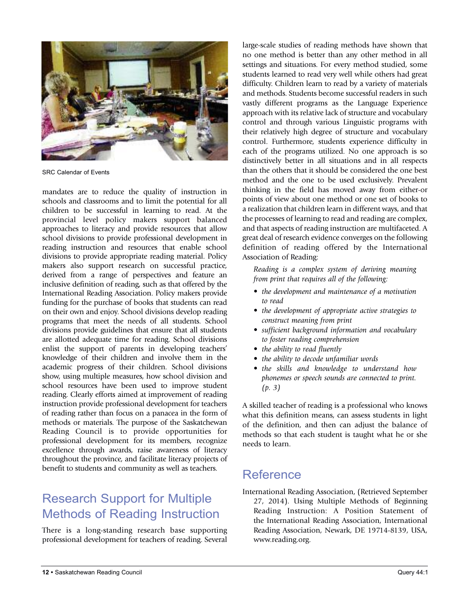

SRC Calendar of Events

mandates are to reduce the quality of instruction in schools and classrooms and to limit the potential for all children to be successful in learning to read. At the provincial level policy makers support balanced approaches to literacy and provide resources that allow school divisions to provide professional development in reading instruction and resources that enable school divisions to provide appropriate reading material. Policy makers also support research on successful practice, derived from a range of perspectives and feature an inclusive definition of reading, such as that offered by the International Reading Association. Policy makers provide funding for the purchase of books that students can read on their own and enjoy. School divisions develop reading programs that meet the needs of all students. School divisions provide guidelines that ensure that all students are allotted adequate time for reading. School divisions enlist the support of parents in developing teachers' knowledge of their children and involve them in the academic progress of their children. School divisions show, using multiple measures, how school division and school resources have been used to improve student reading. Clearly efforts aimed at improvement of reading instruction provide professional development for teachers of reading rather than focus on a panacea in the form of methods or materials. The purpose of the Saskatchewan Reading Council is to provide opportunities for professional development for its members, recognize excellence through awards, raise awareness of literacy throughout the province, and facilitate literacy projects of benefit to students and community as well as teachers.

### Research Support for Multiple Methods of Reading Instruction

There is a long-standing research base supporting professional development for teachers of reading. Several

large-scale studies of reading methods have shown that no one method is better than any other method in all settings and situations. For every method studied, some students learned to read very well while others had great difficulty. Children learn to read by a variety of materials and methods. Students become successful readers in such vastly different programs as the Language Experience approach with its relative lack of structure and vocabulary control and through various Linguistic programs with their relatively high degree of structure and vocabulary control. Furthermore, students experience difficulty in each of the programs utilized. No one approach is so distinctively better in all situations and in all respects than the others that it should be considered the one best method and the one to be used exclusively. Prevalent thinking in the field has moved away from either-or points of view about one method or one set of books to a realization that children learn in different ways, and that the processes of learning to read and reading are complex, and that aspects of reading instruction are multifaceted. A great deal of research evidence converges on the following definition of reading offered by the International Association of Reading:

*Reading is a complex system of deriving meaning from print that requires all of the following:*

- *• the development and maintenance of a motivation to read*
- *• the development of appropriate active strategies to construct meaning from print*
- *• sufficient background information and vocabulary to foster reading comprehension*
- *• the ability to read fluently*
- *• the ability to decode unfamiliar words*
- *• the skills and knowledge to understand how phonemes or speech sounds are connected to print. (p. 3)*

A skilled teacher of reading is a professional who knows what this definition means, can assess students in light of the definition, and then can adjust the balance of methods so that each student is taught what he or she needs to learn.

### **Reference**

International Reading Association, (Retrieved September 27, 2014). Using Multiple Methods of Beginning Reading Instruction: A Position Statement of the International Reading Association, International Reading Association, Newark, DE 19714-8139, USA, www.reading.org.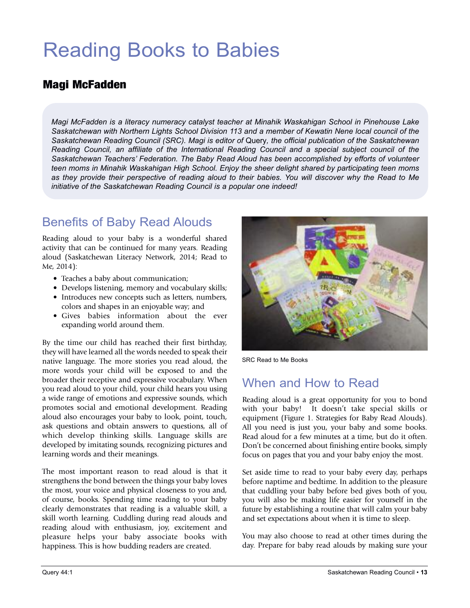## Reading Books to Babies

### Magi McFadden

*Magi McFadden is a literacy numeracy catalyst teacher at Minahik Waskahigan School in Pinehouse Lake Saskatchewan with Northern Lights School Division 113 and a member of Kewatin Nene local council of the Saskatchewan Reading Council (SRC). Magi is editor of* Query*, the official publication of the Saskatchewan Reading Council, an affiliate of the International Reading Council and a special subject council of the Saskatchewan Teachers' Federation. The Baby Read Aloud has been accomplished by efforts of volunteer teen moms in Minahik Waskahigan High School. Enjoy the sheer delight shared by participating teen moms* as they provide their perspective of reading aloud to their babies. You will discover why the Read to Me *initiative of the Saskatchewan Reading Council is a popular one indeed!*

### Benefits of Baby Read Alouds

Reading aloud to your baby is a wonderful shared activity that can be continued for many years. Reading aloud (Saskatchewan Literacy Network, 2014; Read to Me, 2014):

- Teaches a baby about communication;
- Develops listening, memory and vocabulary skills; • Introduces new concepts such as letters, numbers,
- colors and shapes in an enjoyable way; and
- Gives babies information about the ever expanding world around them.

By the time our child has reached their first birthday, they will have learned all the words needed to speak their native language. The more stories you read aloud, the more words your child will be exposed to and the broader their receptive and expressive vocabulary. When you read aloud to your child, your child hears you using a wide range of emotions and expressive sounds, which promotes social and emotional development. Reading aloud also encourages your baby to look, point, touch, ask questions and obtain answers to questions, all of which develop thinking skills. Language skills are developed by imitating sounds, recognizing pictures and learning words and their meanings.

The most important reason to read aloud is that it strengthens the bond between the things your baby loves the most, your voice and physical closeness to you and, of course, books. Spending time reading to your baby clearly demonstrates that reading is a valuable skill, a skill worth learning. Cuddling during read alouds and reading aloud with enthusiasm, joy, excitement and pleasure helps your baby associate books with happiness. This is how budding readers are created.



SRC Read to Me Books

### When and How to Read

Reading aloud is a great opportunity for you to bond with your baby! It doesn't take special skills or equipment (Figure 1. Strategies for Baby Read Alouds). All you need is just you, your baby and some books. Read aloud for a few minutes at a time, but do it often. Don't be concerned about finishing entire books, simply focus on pages that you and your baby enjoy the most.

Set aside time to read to your baby every day, perhaps before naptime and bedtime. In addition to the pleasure that cuddling your baby before bed gives both of you, you will also be making life easier for yourself in the future by establishing a routine that will calm your baby and set expectations about when it is time to sleep.

You may also choose to read at other times during the day. Prepare for baby read alouds by making sure your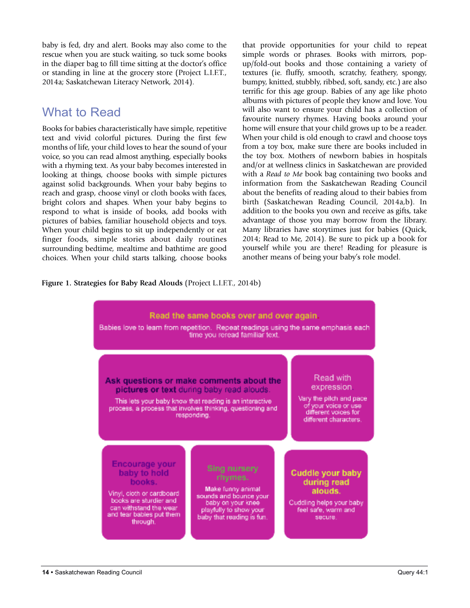baby is fed, dry and alert. Books may also come to the rescue when you are stuck waiting, so tuck some books in the diaper bag to fill time sitting at the doctor's office or standing in line at the grocery store (Project L.I.F.T., 2014a; Saskatchewan Literacy Network, 2014).

### What to Read

Books for babies characteristically have simple, repetitive text and vivid colorful pictures. During the first few months of life, your child loves to hear the sound of your voice, so you can read almost anything, especially books with a rhyming text. As your baby becomes interested in looking at things, choose books with simple pictures against solid backgrounds. When your baby begins to reach and grasp, choose vinyl or cloth books with faces, bright colors and shapes. When your baby begins to respond to what is inside of books, add books with pictures of babies, familiar household objects and toys. When your child begins to sit up independently or eat finger foods, simple stories about daily routines surrounding bedtime, mealtime and bathtime are good choices. When your child starts talking, choose books that provide opportunities for your child to repeat simple words or phrases. Books with mirrors, popup/fold-out books and those containing a variety of textures (ie. fluffy, smooth, scratchy, feathery, spongy, bumpy, knitted, stubbly, ribbed, soft, sandy, etc.) are also terrific for this age group. Babies of any age like photo albums with pictures of people they know and love. You will also want to ensure your child has a collection of favourite nursery rhymes. Having books around your home will ensure that your child grows up to be a reader. When your child is old enough to crawl and choose toys from a toy box, make sure there are books included in the toy box. Mothers of newborn babies in hospitals and/or at wellness clinics in Saskatchewan are provided with a *Read to Me* book bag containing two books and information from the Saskatchewan Reading Council about the benefits of reading aloud to their babies from birth (Saskatchewan Reading Council, 2014a,b). In addition to the books you own and receive as gifts, take advantage of those you may borrow from the library. Many libraries have storytimes just for babies (Quick, 2014; Read to Me, 2014). Be sure to pick up a book for yourself while you are there! Reading for pleasure is another means of being your baby's role model.

**Figure 1. Strategies for Baby Read Alouds** (Project L.I.F.T., 2014b)

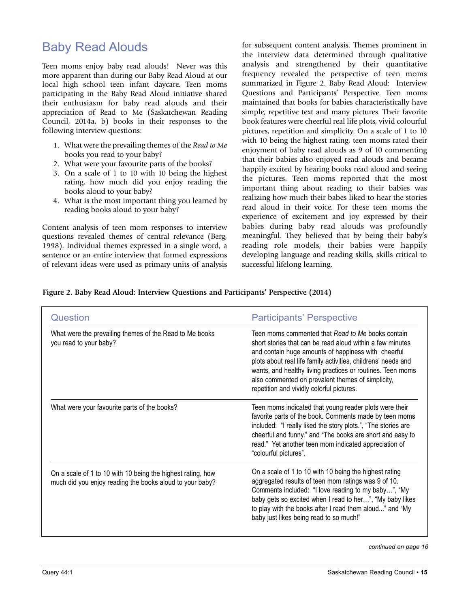### Baby Read Alouds

Teen moms enjoy baby read alouds! Never was this more apparent than during our Baby Read Aloud at our local high school teen infant daycare. Teen moms participating in the Baby Read Aloud initiative shared their enthusiasm for baby read alouds and their appreciation of Read to Me (Saskatchewan Reading Council, 2014a, b) books in their responses to the following interview questions:

- 1. What were the prevailing themes of the *Read to Me* books you read to your baby?
- 2. What were your favourite parts of the books?
- 3. On a scale of 1 to 10 with 10 being the highest rating, how much did you enjoy reading the books aloud to your baby?
- 4. What is the most important thing you learned by reading books aloud to your baby?

Content analysis of teen mom responses to interview questions revealed themes of central relevance (Berg, 1998). Individual themes expressed in a single word, a sentence or an entire interview that formed expressions of relevant ideas were used as primary units of analysis for subsequent content analysis. Themes prominent in the interview data determined through qualitative analysis and strengthened by their quantitative frequency revealed the perspective of teen moms summarized in Figure 2. Baby Read Aloud: Interview Questions and Participants' Perspective. Teen moms maintained that books for babies characteristically have simple, repetitive text and many pictures. Their favorite book features were cheerful real life plots, vivid colourful pictures, repetition and simplicity. On a scale of 1 to 10 with 10 being the highest rating, teen moms rated their enjoyment of baby read alouds as 9 of 10 commenting that their babies also enjoyed read alouds and became happily excited by hearing books read aloud and seeing the pictures. Teen moms reported that the most important thing about reading to their babies was realizing how much their babes liked to hear the stories read aloud in their voice. For these teen moms the experience of excitement and joy expressed by their babies during baby read alouds was profoundly meaningful. They believed that by being their baby's reading role models, their babies were happily developing language and reading skills, skills critical to successful lifelong learning.

#### **Figure 2. Baby Read Aloud: Interview Questions and Participants' Perspective (2014)**

| Question                                                                                                                | <b>Participants' Perspective</b>                                                                                                                                                                                                                                                                                                                                                                       |
|-------------------------------------------------------------------------------------------------------------------------|--------------------------------------------------------------------------------------------------------------------------------------------------------------------------------------------------------------------------------------------------------------------------------------------------------------------------------------------------------------------------------------------------------|
| What were the prevailing themes of the Read to Me books<br>you read to your baby?                                       | Teen moms commented that Read to Me books contain<br>short stories that can be read aloud within a few minutes<br>and contain huge amounts of happiness with cheerful<br>plots about real life family activities, childrens' needs and<br>wants, and healthy living practices or routines. Teen moms<br>also commented on prevalent themes of simplicity,<br>repetition and vividly colorful pictures. |
| What were your favourite parts of the books?                                                                            | Teen moms indicated that young reader plots were their<br>favorite parts of the book. Comments made by teen moms<br>included: "I really liked the story plots.", "The stories are<br>cheerful and funny." and "The books are short and easy to<br>read." Yet another teen mom indicated appreciation of<br>"colourful pictures".                                                                       |
| On a scale of 1 to 10 with 10 being the highest rating, how<br>much did you enjoy reading the books aloud to your baby? | On a scale of 1 to 10 with 10 being the highest rating<br>aggregated results of teen mom ratings was 9 of 10.<br>Comments included: "I love reading to my baby", "My<br>baby gets so excited when I read to her", "My baby likes<br>to play with the books after I read them aloud" and "My<br>baby just likes being read to so much!"                                                                 |

*continued on page 16*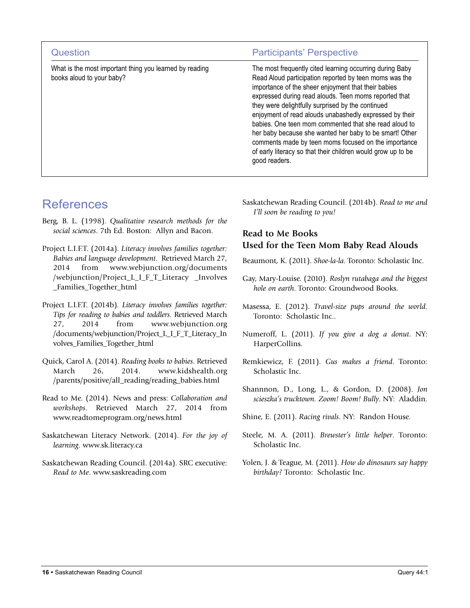| Question                                                                             | <b>Participants' Perspective</b>                                                                                                                                                                                                                                                                                                                                                                                                                                                                                                                                                                                |
|--------------------------------------------------------------------------------------|-----------------------------------------------------------------------------------------------------------------------------------------------------------------------------------------------------------------------------------------------------------------------------------------------------------------------------------------------------------------------------------------------------------------------------------------------------------------------------------------------------------------------------------------------------------------------------------------------------------------|
| What is the most important thing you learned by reading<br>books aloud to your baby? | The most frequently cited learning occurring during Baby<br>Read Aloud participation reported by teen moms was the<br>importance of the sheer enjoyment that their babies<br>expressed during read alouds. Teen moms reported that<br>they were delightfully surprised by the continued<br>enjoyment of read alouds unabashedly expressed by their<br>babies. One teen mom commented that she read aloud to<br>her baby because she wanted her baby to be smart! Other<br>comments made by teen moms focused on the importance<br>of early literacy so that their children would grow up to be<br>good readers. |

### References

- Berg, B. L. (1998). *Qualitative research methods for the social sciences*. 7th Ed. Boston: Allyn and Bacon.
- Project L.I.F.T. (2014a). *Literacy involves families together: Babies and language development*. Retrieved March 27, 2014 from www.webjunction.org/documents /webjunction/Project\_L\_I\_F\_T\_Literacy \_Involves \_Families\_Together\_html
- Project L.I.F.T. (2014b). *Literacy involves families together: Tips for reading to babies and toddlers*. Retrieved March 27, 2014 from www.webjunction.org /documents/webjunction/Project\_L\_I\_F\_T\_Literacy\_In volves\_Families\_Together\_html
- Quick, Carol A. (2014). *Reading books to babies*. Retrieved March 26, 2014. www.kidshealth.org /parents/positive/all\_reading/reading\_babies.html
- Read to Me. (2014). News and press: *Collaboration and workshops*. Retrieved March 27, 2014 from www.readtomeprogram.org/news.html
- Saskatchewan Literacy Network. (2014). *For the joy of learning*. www.sk.literacy.ca
- Saskatchewan Reading Council. (2014a). SRC executive: *Read to Me*. www.saskreading.com

Saskatchewan Reading Council. (2014b). *Read to me and I'll soon be reading to you!*

#### **Read to Me Books Used for the Teen Mom Baby Read Alouds**

- Beaumont, K. (2011). *Shoe-la-la*. Toronto: Scholastic Inc.
- Gay, Mary-Louise. (2010). *Roslyn rutabaga and the biggest hole on earth*. Toronto: Groundwood Books.
- Masessa, E. (2012). *Travel-size pups around the world*. Toronto: Scholastic Inc..
- Numeroff, L. (2011). *If you give a dog a donut*. NY: HarperCollins.
- Remkiewicz, F. (2011). *Gus makes a friend*. Toronto: Scholastic Inc.
- Shannnon, D., Long, L., & Gordon, D. (2008). *Jon scieszka's trucktown. Zoom! Boom! Bully*. NY: Aladdin.
- Shine, E. (2011). *Racing rivals*. NY: Randon House.
- Steele, M. A. (2011). *Brewster's little helper*. Toronto: Scholastic Inc.
- Yolen, J. & Teague, M. (2011). *How do dinosaurs say happy birthday?* Toronto: Scholastic Inc.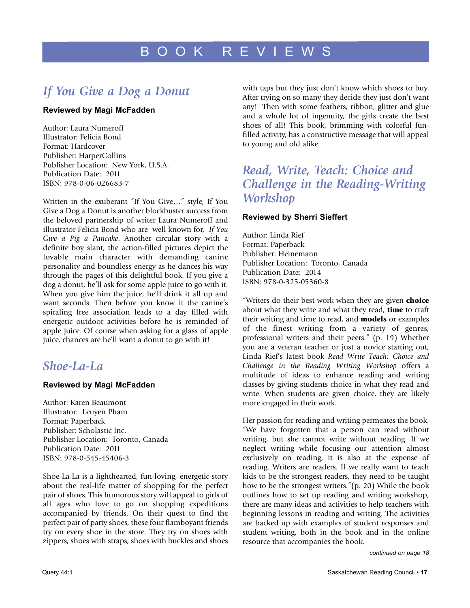## *If You Give a Dog a Donut*

#### **Reviewed by Magi McFadden**

Author: Laura Numeroff Illustrator: Felicia Bond Format: Hardcover Publisher: HarperCollins Publisher Location: New York, U.S.A. Publication Date: 2011 ISBN: 978-0-06-026683-7

Written in the exuberant "If You Give…" style, If You Give a Dog a Donut is another blockbuster success from the beloved partnership of writer Laura Numeroff and illustrator Felicia Bond who are well known for, *If You Give a Pig a Pancake*. Another circular story with a definite boy slant, the action-filled pictures depict the lovable main character with demanding canine personality and boundless energy as he dances his way through the pages of this delightful book. If you give a dog a donut, he'll ask for some apple juice to go with it. When you give him the juice, he'll drink it all up and want seconds. Then before you know it the canine's spiraling free association leads to a day filled with energetic outdoor activities before he is reminded of apple juice. Of course when asking for a glass of apple juice, chances are he'll want a donut to go with it!

### *Shoe-La-La*

#### **Reviewed by Magi McFadden**

Author: Karen Beaumont Illustrator: Leuyen Pham Format: Paperback Publisher: Scholastic Inc. Publisher Location: Toronto, Canada Publication Date: 2011 ISBN: 978-0-545-45406-3

Shoe-La-La is a lighthearted, fun-loving, energetic story about the real-life matter of shopping for the perfect pair of shoes. This humorous story will appeal to girls of all ages who love to go on shopping expeditions accompanied by friends. On their quest to find the perfect pair of party shoes, these four flamboyant friends try on every shoe in the store. They try on shoes with zippers, shoes with straps, shoes with buckles and shoes

with taps but they just don't know which shoes to buy. After trying on so many they decide they just don't want any! Then with some feathers, ribbon, glitter and glue and a whole lot of ingenuity, the girls create the best shoes of all! This book, brimming with colorful funfilled activity, has a constructive message that will appeal to young and old alike.

### *Read, Write, Teach: Choice and Challenge in the Reading-Writing Workshop*

#### **Reviewed by Sherri Sieffert**

Author: Linda Rief Format: Paperback Publisher: Heinemann Publisher Location: Toronto, Canada Publication Date: 2014 ISBN: 978-0-325-05360-8

"Writers do their best work when they are given **choice** about what they write and what they read, **time** to craft their writing and time to read, and **models** or examples of the finest writing from a variety of genres, professional writers and their peers." (p. 19) Whether you are a veteran teacher or just a novice starting out, Linda Rief's latest book *Read Write Teach: Choice and Challenge in the Reading Writing Workshop* offers a multitude of ideas to enhance reading and writing classes by giving students choice in what they read and write. When students are given choice, they are likely more engaged in their work.

Her passion for reading and writing permeates the book. "We have forgotten that a person can read without writing, but she cannot write without reading. If we neglect writing while focusing our attention almost exclusively on reading, it is also at the expense of reading. Writers are readers. If we really want to teach kids to be the strongest readers, they need to be taught how to be the strongest writers."(p. 20) While the book outlines how to set up reading and writing workshop, there are many ideas and activities to help teachers with beginning lessons in reading and writing. The activities are backed up with examples of student responses and student writing, both in the book and in the online resource that accompanies the book.

*continued on page 18*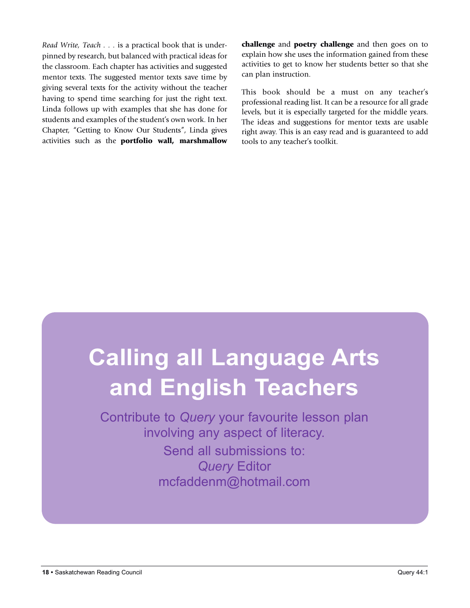*Read Write, Teach . . .* is a practical book that is underpinned by research, but balanced with practical ideas for the classroom. Each chapter has activities and suggested mentor texts. The suggested mentor texts save time by giving several texts for the activity without the teacher having to spend time searching for just the right text. Linda follows up with examples that she has done for students and examples of the student's own work. In her Chapter, "Getting to Know Our Students", Linda gives activities such as the **portfolio wall, marshmallow** **challenge** and **poetry challenge** and then goes on to explain how she uses the information gained from these activities to get to know her students better so that she can plan instruction.

This book should be a must on any teacher's professional reading list. It can be a resource for all grade levels, but it is especially targeted for the middle years. The ideas and suggestions for mentor texts are usable right away. This is an easy read and is guaranteed to add tools to any teacher's toolkit.

## **Calling all language Arts and English Teachers**

Contribute to *Query* your favourite lesson plan involving any aspect of literacy.

> Send all submissions to: *Query* Editor mcfaddenm@hotmail.com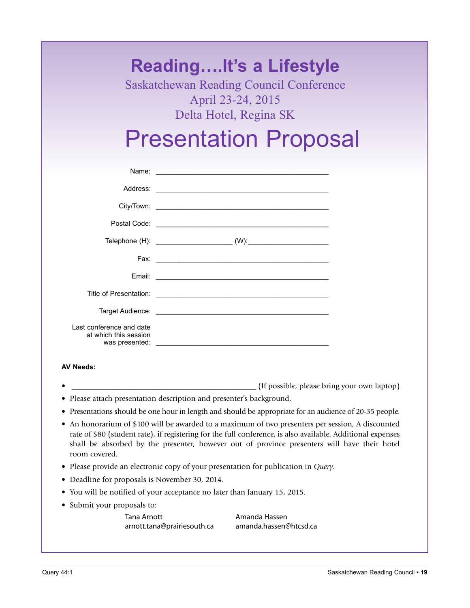## **Reading….It's a Lifestyle**

Saskatchewan Reading Council Conference April 23-24, 2015 Delta Hotel, Regina SK

## Presentation Proposal

| Last conference and date<br>at which this session |
|---------------------------------------------------|

#### **AV Needs:**

- (If possible, please bring your own laptop)
- Please attach presentation description and presenter's background.
- Presentations should be one hour in length and should be appropriate for an audience of 20-35 people.
- An honorarium of \$100 will be awarded to a maximum of two presenters per session, A discounted rate of \$80 (student rate), if registering for the full conference, is also available. Additional expenses shall be absorbed by the presenter, however out of province presenters will have their hotel room covered.
- Please provide an electronic copy of your presentation for publication in *Query*.
- Deadline for proposals is November 30, 2014.
- You will be notified of your acceptance no later than January 15, 2015.
- Submit your proposals to:

Tana Arnott **Amanda Hassen** arnott.tana@prairiesouth.ca amanda.hassen@htcsd.ca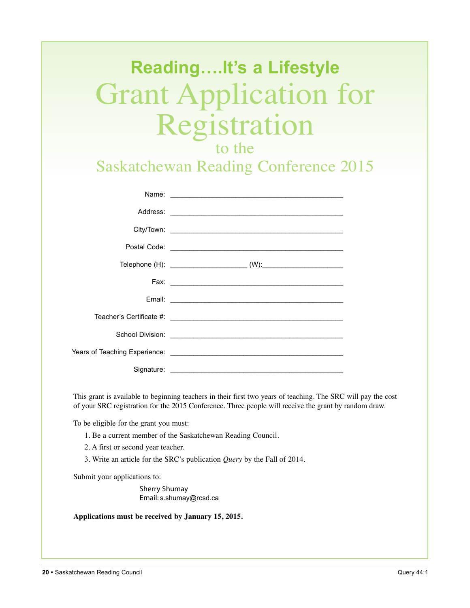# **Reading….It's a Lifestyle** Grant Application for Registration

to the

Saskatchewan Reading Conference 2015

| Signature: |
|------------|

This grant is available to beginning teachers in their first two years of teaching. The SRC will pay the cost of your SRC registration for the 2015 Conference. Three people will receive the grant by random draw.

To be eligible for the grant you must:

- 1. Be a current member of the Saskatchewan Reading Council.
- 2. A first or second year teacher.
- 3. Write an article for the SRC's publication *Query* by the Fall of 2014.

Submit your applications to:

Sherry Shumay Email: s.shumay@rcsd.ca

**Applications must be received by January 15, 2015.**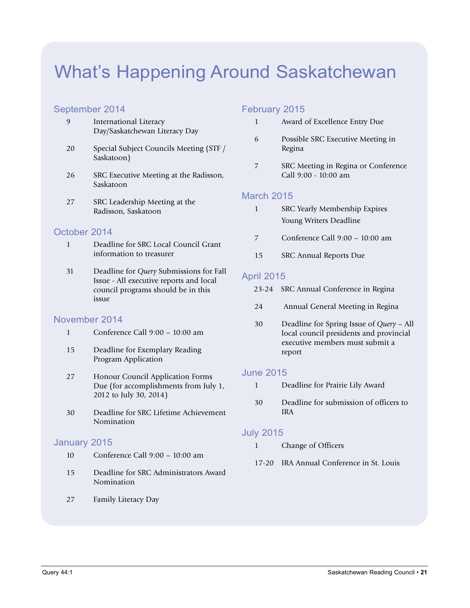## What's Happening Around Saskatchewan

#### September 2014

- 9 International Literacy Day/Saskatchewan Literacy Day
- 20 Special Subject Councils Meeting (STF / Saskatoon)
- 26 SRC Executive Meeting at the Radisson, Saskatoon
- 27 SRC Leadership Meeting at the Radisson, Saskatoon

#### October 2014

- 1 Deadline for SRC Local Council Grant information to treasurer
- 31 Deadline for *Query* Submissions for Fall Issue - All executive reports and local council programs should be in this issue

#### November 2014

- 1 Conference Call 9:00 10:00 am
- 15 Deadline for Exemplary Reading Program Application
- 27 Honour Council Application Forms Due (for accomplishments from July 1, 2012 to July 30, 2014)
- 30 Deadline for SRC Lifetime Achievement Nomination

#### January 2015

- 10 Conference Call 9:00 10:00 am
- 15 Deadline for SRC Administrators Award Nomination
- 27 Family Literacy Day

#### February 2015

- 1 Award of Excellence Entry Due
- 6 Possible SRC Executive Meeting in Regina
- 7 SRC Meeting in Regina or Conference Call 9:00 - 10:00 am

#### March 2015

- 1 SRC Yearly Membership Expires Young Writers Deadline
- 7 Conference Call 9:00 10:00 am
- 15 SRC Annual Reports Due

#### April 2015

- 23-24 SRC Annual Conference in Regina
- 24 Annual General Meeting in Regina
- 30 Deadline for Spring Issue of *Query* All local council presidents and provincial executive members must submit a report

#### June 2015

- 1 Deadline for Prairie Lily Award
- 30 Deadline for submission of officers to IRA

#### July 2015

- 1 Change of Officers
- 17-20 IRA Annual Conference in St. Louis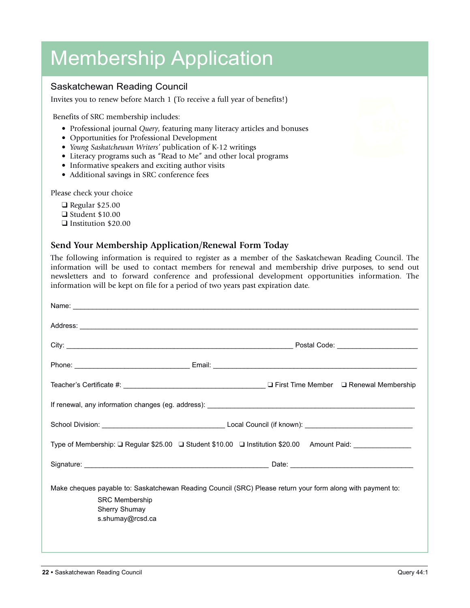## Membership Application

#### Saskatchewan Reading Council

Invites you to renew before March 1 (To receive a full year of benefits!)

Benefits of SRC membership includes:

- Professional journal *Query*, featuring many literacy articles and bonuses
- Opportunities for Professional Development
- *Young Saskatchewan Writers'* publication of K-12 writings
- Literacy programs such as "Read to Me" and other local programs
- Informative speakers and exciting author visits
- Additional savings in SRC conference fees

Please check your choice

 $\Box$  Regular \$25.00  $\Box$  Student \$10.00 **q** Institution \$20.00

#### **Send Your Membership Application/Renewal Form Today**

The following information is required to register as a member of the Saskatchewan Reading Council. The information will be used to contact members for renewal and membership drive purposes, to send out newsletters and to forward conference and professional development opportunities information. The information will be kept on file for a period of two years past expiration date.

|                                                            | Type of Membership: □ Regular \$25.00 □ Student \$10.00 □ Institution \$20.00 Amount Paid: ____________    |
|------------------------------------------------------------|------------------------------------------------------------------------------------------------------------|
|                                                            |                                                                                                            |
| <b>SRC Membership</b><br>Sherry Shumay<br>s.shumay@rcsd.ca | Make cheques payable to: Saskatchewan Reading Council (SRC) Please return your form along with payment to: |

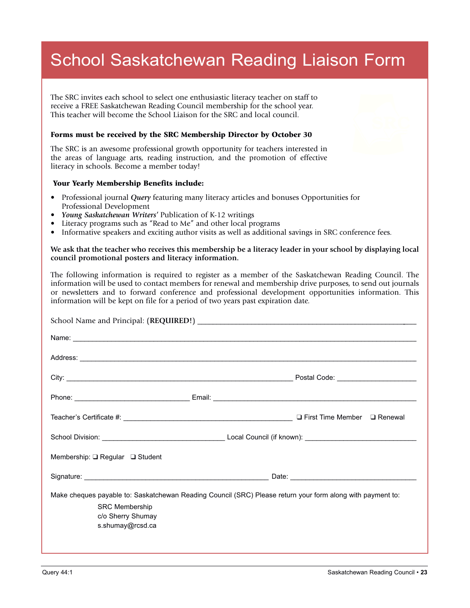## School Saskatchewan Reading Liaison Form

The SRC invites each school to select one enthusiastic literacy teacher on staff to receive a FREE Saskatchewan Reading Council membership for the school year. This teacher will become the School Liaison for the SRC and local council.

#### **Forms must be received by the SRC Membership Director by October 30**

The SRC is an awesome professional growth opportunity for teachers interested in the areas of language arts, reading instruction, and the promotion of effective literacy in schools. Become a member today!

#### **Your Yearly Membership Benefits include:**

- Professional journal *Query* featuring many literacy articles and bonuses Opportunities for Professional Development
- *Young Saskatchewan Writers'* Publication of K-12 writings
- Literacy programs such as "Read to Me" and other local programs
- Informative speakers and exciting author visits as well as additional savings in SRC conference fees.

#### We ask that the teacher who receives this membership be a literacy leader in your school by displaying local **council promotional posters and literacy information.**

The following information is required to register as a member of the Saskatchewan Reading Council. The information will be used to contact members for renewal and membership drive purposes, to send out journals or newsletters and to forward conference and professional development opportunities information. This information will be kept on file for a period of two years past expiration date.

|                                           | Address: <u>Address:</u> Address: Address: Address: Address: Address: Address: Address: Address: Address: Address: Address: Address: Address: Address: Address: Address: Address: Address: Address: Address: Address: Address: Addr |  |
|-------------------------------------------|-------------------------------------------------------------------------------------------------------------------------------------------------------------------------------------------------------------------------------------|--|
|                                           |                                                                                                                                                                                                                                     |  |
|                                           |                                                                                                                                                                                                                                     |  |
|                                           | $\Box$ First Time Member $\Box$ Renewal                                                                                                                                                                                             |  |
|                                           |                                                                                                                                                                                                                                     |  |
| Membership: $\Box$ Regular $\Box$ Student |                                                                                                                                                                                                                                     |  |
|                                           |                                                                                                                                                                                                                                     |  |
|                                           | Make cheques payable to: Saskatchewan Reading Council (SRC) Please return your form along with payment to:                                                                                                                          |  |
| <b>SRC Membership</b>                     |                                                                                                                                                                                                                                     |  |
| c/o Sherry Shumay<br>s.shumay@rcsd.ca     |                                                                                                                                                                                                                                     |  |
|                                           |                                                                                                                                                                                                                                     |  |
|                                           |                                                                                                                                                                                                                                     |  |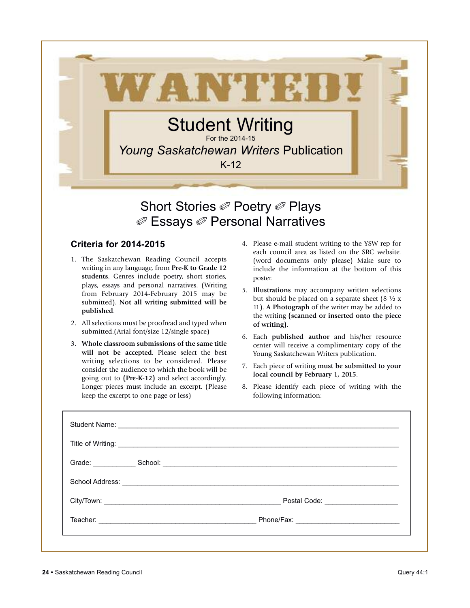

## Short Stories *<i>©* Poetry *⊘* Plays ✐ Essays ✐ Personal Narratives

#### **Criteria for 2014-2015**

- 1. The Saskatchewan Reading Council accepts writing in any language, from **Pre-K to Grade 12 students**. Genres include poetry, short stories, plays, essays and personal narratives. (Writing from February 2014-February 2015 may be submitted). **Not all writing submitted will be published**.
- 2. All selections must be proofread and typed when submitted.(Arial font/size 12/single space)
- 3. **Whole classroom submissions of the same title will not be accepted**. Please select the best writing selections to be considered. Please consider the audience to which the book will be going out to **(Pre-K-12)** and select accordingly. Longer pieces must include an excerpt. (Please keep the excerpt to one page or less)
- 4. Please e-mail student writing to the YSW rep for each council area as listed on the SRC website. (word documents only please) Make sure to include the information at the bottom of this poster.
- 5. **Illustrations** may accompany written selections but should be placed on a separate sheet (8  $\frac{1}{2}$  x 11). **A Photograph** of the writer may be added to the writing **(scanned or inserted onto the piece of writing)**.
- 6. Each **published author** and his/her resource center will receive a complimentary copy of the Young Saskatchewan Writers publication.
- 7. Each piece of writing **must be submitted to your local council by February 1, 2015**.
- 8. Please identify each piece of writing with the following information: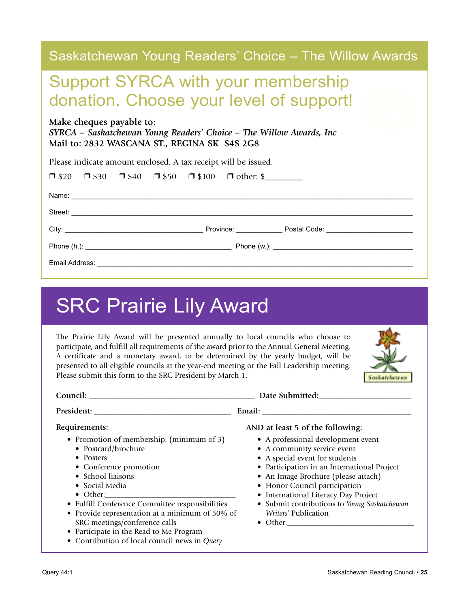| Saskatchewan Young Readers' Choice – The Willow Awards                                                                                          |
|-------------------------------------------------------------------------------------------------------------------------------------------------|
| <b>Support SYRCA with your membership</b><br>donation. Choose your level of support!                                                            |
| Make cheques payable to:<br>SYRCA – Saskatchewan Young Readers' Choice – The Willow Awards, Inc<br>Mail to: 2832 WASCANA ST., REGINA SK S4S 2G8 |
| Please indicate amount enclosed. A tax receipt will be issued.                                                                                  |
| $\Box$ \$20 $\Box$ \$30 $\Box$ \$40 $\Box$ \$50 $\Box$ \$100 $\Box$ other: \$                                                                   |
|                                                                                                                                                 |
|                                                                                                                                                 |
|                                                                                                                                                 |
|                                                                                                                                                 |
|                                                                                                                                                 |

## SRC Prairie Lily Award

The Prairie Lily Award will be presented annually to local councils who choose to participate, and fulfill all requirements of the award prior to the Annual General Meeting. A certificate and a monetary award, to be determined by the yearly budget, will be presented to all eligible councils at the year-end meeting or the Fall Leadership meeting. Please submit this form to the SRC President by March 1.



| Council:                                                                                                                                                                                                                                                                                                                                                                                           | Date Submitted:                                                                                                                                                                                                                                                                                                                                                                                    |
|----------------------------------------------------------------------------------------------------------------------------------------------------------------------------------------------------------------------------------------------------------------------------------------------------------------------------------------------------------------------------------------------------|----------------------------------------------------------------------------------------------------------------------------------------------------------------------------------------------------------------------------------------------------------------------------------------------------------------------------------------------------------------------------------------------------|
|                                                                                                                                                                                                                                                                                                                                                                                                    |                                                                                                                                                                                                                                                                                                                                                                                                    |
| Requirements:<br>• Promotion of membership: (minimum of 3)<br>• Postcard/brochure<br>• Posters<br>• Conference promotion<br>• School liaisons<br>• Social Media<br>• Fulfill Conference Committee responsibilities<br>• Provide representation at a minimum of 50% of<br>SRC meetings/conference calls<br>• Participate in the Read to Me Program<br>• Contribution of local council news in Query | AND at least 5 of the following:<br>• A professional development event<br>• A community service event<br>• A special event for students<br>• Participation in an International Project<br>• An Image Brochure (please attach)<br>• Honor Council participation<br>• International Literacy Day Project<br>• Submit contributions to Young Saskatchewan<br>Writers' Publication<br>$\bullet$ Other: |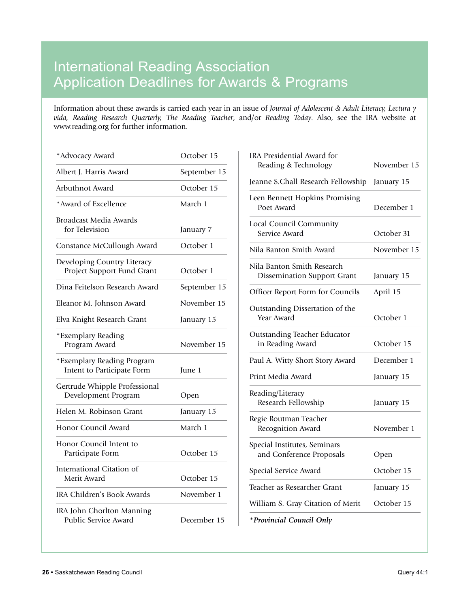## International Reading Association Application Deadlines for Awards & Programs

Information about these awards is carried each year in an issue of *Journal of Adolescent & Adult Literacy, Lectura y vida, Reading Research Quarterly, The Reading Teacher*, and/or *Reading Today*. Also, see the IRA website at www.reading.org for further information.

| *Advocacy Award                                           | October 15   |
|-----------------------------------------------------------|--------------|
| Albert J. Harris Award                                    | September 15 |
| Arbuthnot Award                                           | October 15   |
| *Award of Excellence                                      | March 1      |
| <b>Broadcast Media Awards</b><br>for Television           | January 7    |
| Constance McCullough Award                                | October 1    |
| Developing Country Literacy<br>Project Support Fund Grant | October 1    |
| Dina Feitelson Research Award                             | September 15 |
| Eleanor M. Johnson Award                                  | November 15  |
| Elva Knight Research Grant                                | January 15   |
| *Exemplary Reading<br>Program Award                       | November 15  |
| *Exemplary Reading Program<br>Intent to Participate Form  | June 1       |
| Gertrude Whipple Professional<br>Development Program      | Open         |
| Helen M. Robinson Grant                                   | January 15   |
| Honor Council Award                                       | March 1      |
| Honor Council Intent to<br>Participate Form               | October 15   |
| International Citation of<br>Merit Award                  | October 15   |
| <b>IRA Children's Book Awards</b>                         | November 1   |
| IRA John Chorlton Manning<br>Public Service Award         | December 15  |

| <b>IRA Presidential Award for</b><br>Reading & Technology        | November 15 |
|------------------------------------------------------------------|-------------|
| Jeanne S.Chall Research Fellowship                               | January 15  |
| Leen Bennett Hopkins Promising<br>Poet Award                     | December 1  |
| Local Council Community<br>Service Award                         | October 31  |
| Nila Banton Smith Award                                          | November 15 |
| Nila Banton Smith Research<br><b>Dissemination Support Grant</b> | January 15  |
| Officer Report Form for Councils                                 | April 15    |
| Outstanding Dissertation of the<br>Year Award                    | October 1   |
| <b>Outstanding Teacher Educator</b><br>in Reading Award          | October 15  |
| Paul A. Witty Short Story Award                                  | December 1  |
| Print Media Award                                                | January 15  |
| Reading/Literacy<br>Research Fellowship                          | January 15  |
| Regie Routman Teacher<br>Recognition Award                       | November 1  |
| Special Institutes, Seminars<br>and Conference Proposals         | Open        |
| Special Service Award                                            | October 15  |
| Teacher as Researcher Grant                                      | January 15  |
| William S. Gray Citation of Merit                                | October 15  |
| *Provincial Council Only                                         |             |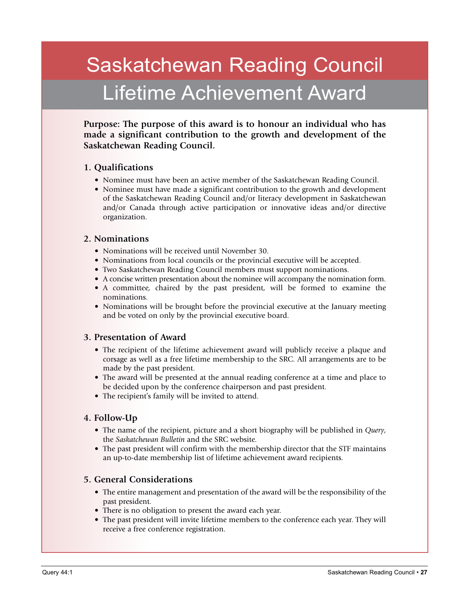## Saskatchewan Reading Council Lifetime Achievement Award

**Purpose: The purpose of this award is to honour an individual who has made a significant contribution to the growth and development of the Saskatchewan Reading Council.**

#### **1. Qualifications**

- Nominee must have been an active member of the Saskatchewan Reading Council.
- Nominee must have made a significant contribution to the growth and development of the Saskatchewan Reading Council and/or literacy development in Saskatchewan and/or Canada through active participation or innovative ideas and/or directive organization.

#### **2. Nominations**

- Nominations will be received until November 30.
- Nominations from local councils or the provincial executive will be accepted.
- Two Saskatchewan Reading Council members must support nominations.
- A concise written presentation about the nominee will accompany the nomination form.
- A committee, chaired by the past president, will be formed to examine the nominations.
- Nominations will be brought before the provincial executive at the January meeting and be voted on only by the provincial executive board.

#### **3. Presentation of Award**

- The recipient of the lifetime achievement award will publicly receive a plaque and corsage as well as a free lifetime membership to the SRC. All arrangements are to be made by the past president.
- The award will be presented at the annual reading conference at a time and place to be decided upon by the conference chairperson and past president.
- The recipient's family will be invited to attend.

#### **4. Follow-Up**

- The name of the recipient, picture and a short biography will be published in *Query*, the *Saskatchewan Bulletin* and the SRC website.
- The past president will confirm with the membership director that the STF maintains an up-to-date membership list of lifetime achievement award recipients.

#### **5. General Considerations**

- The entire management and presentation of the award will be the responsibility of the past president.
- There is no obligation to present the award each year.
- The past president will invite lifetime members to the conference each year. They will receive a free conference registration.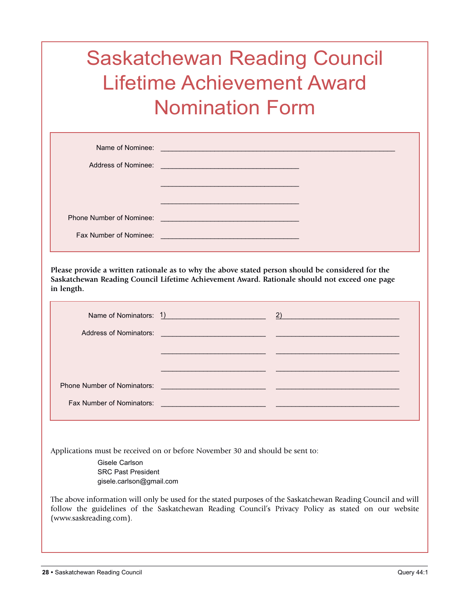## Saskatchewan Reading Council Lifetime Achievement Award Nomination Form

| Name of Nominee:<br>Address of Nominee: | and the control of the control of the control of the control of the control of the control of the control of the<br>and the control of the control of the control of the control of the control of the control of the control of the |  |
|-----------------------------------------|--------------------------------------------------------------------------------------------------------------------------------------------------------------------------------------------------------------------------------------|--|
|                                         |                                                                                                                                                                                                                                      |  |
| Phone Number of Nominee:                | <u> 1990 - Jan Sterling von Berling von Berling von Berling von Berling von Berling von Berling von Berling von B</u>                                                                                                                |  |
| Fax Number of Nominee:                  | <u> 1989 - Johann Barn, mars ann an t-Amhain an t-Amhain an t-Amhain an t-Amhain an t-Amhain an t-Amhain an t-Amh</u>                                                                                                                |  |

**Please provide a written rationale as to why the above stated person should be considered for the Saskatchewan Reading Council Lifetime Achievement Award. Rationale should not exceed one page in length.**

|                                  |                                                                                                                       | Name of Nominators: 1) 2) |
|----------------------------------|-----------------------------------------------------------------------------------------------------------------------|---------------------------|
|                                  | Address of Nominators: <u>Address of Nominators:</u> Address of Nominators:                                           |                           |
|                                  |                                                                                                                       |                           |
|                                  |                                                                                                                       |                           |
|                                  | Phone Number of Nominators: 2008 2009 2009 2009 2009 2010 2021 2022 2023 2024 2022 2023 2024 2022 2023 2024 20        |                           |
| <b>Fax Number of Nominators:</b> | <u> 1989 - Johann Barn, mars ann an t-Amhain an t-Amhain an t-Amhain an t-Amhain an t-Amhain an t-Amhain an t-Amh</u> |                           |

Applications must be received on or before November 30 and should be sent to:

Gisele Carlson SRC Past President gisele.carlson@gmail.com

The above information will only be used for the stated purposes of the Saskatchewan Reading Council and will follow the guidelines of the Saskatchewan Reading Council's Privacy Policy as stated on our website (www.saskreading.com).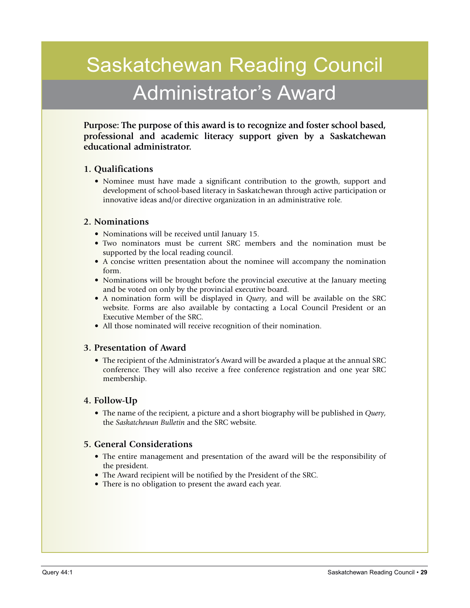## Saskatchewan Reading Council Administrator's Award

**Purpose: The purpose of this award is to recognize and foster school based, professional and academic literacy support given by a Saskatchewan educational administrator.**

#### **1. Qualifications**

• Nominee must have made a significant contribution to the growth, support and development of school-based literacy in Saskatchewan through active participation or innovative ideas and/or directive organization in an administrative role.

#### **2. Nominations**

- Nominations will be received until January 15.
- Two nominators must be current SRC members and the nomination must be supported by the local reading council.
- A concise written presentation about the nominee will accompany the nomination form.
- Nominations will be brought before the provincial executive at the January meeting and be voted on only by the provincial executive board.
- A nomination form will be displayed in *Query*, and will be available on the SRC website. Forms are also available by contacting a Local Council President or an Executive Member of the SRC.
- All those nominated will receive recognition of their nomination.

#### **3. Presentation of Award**

• The recipient of the Administrator's Award will be awarded a plaque at the annual SRC conference. They will also receive a free conference registration and one year SRC membership.

#### **4. Follow-Up**

• The name of the recipient, a picture and a short biography will be published in *Query*, the *Saskatchewan Bulletin* and the SRC website.

#### **5. General Considerations**

- The entire management and presentation of the award will be the responsibility of the president.
- The Award recipient will be notified by the President of the SRC.
- There is no obligation to present the award each year.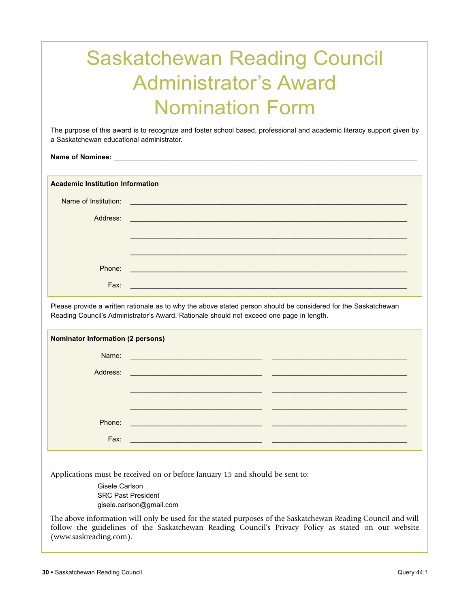## Saskatchewan Reading Council Administrator's Award Nomination Form

The purpose of this award is to recognize and foster school based, professional and academic literacy support given by a Saskatchewan educational administrator.

**Name of Nominee:** 

**Academic Institution Information**

| Name of Institution: | and the control of the control of the control of the control of the control of the control of the control of the |
|----------------------|------------------------------------------------------------------------------------------------------------------|
| Address:             |                                                                                                                  |
|                      |                                                                                                                  |
|                      |                                                                                                                  |
| Phone:               |                                                                                                                  |
| Fax:                 | <u> 1980 - Johann Barbara, martxa alemaniar a</u>                                                                |

Please provide a written rationale as to why the above stated person should be considered for the Saskatchewan Reading Council's Administrator's Award. Rationale should not exceed one page in length.

| <b>Nominator Information (2 persons)</b> |                                                                 |  |
|------------------------------------------|-----------------------------------------------------------------|--|
| Name:                                    | <u> 1980 - Jan Stein Stein, Amerikaansk politiker (</u> † 1920) |  |
| Address:                                 |                                                                 |  |
|                                          |                                                                 |  |
|                                          |                                                                 |  |
| Phone:                                   |                                                                 |  |
| Fax:                                     |                                                                 |  |

Applications must be received on or before January 15 and should be sent to:

Gisele Carlson SRC Past President gisele.carlson@gmail.com

The above information will only be used for the stated purposes of the Saskatchewan Reading Council and will follow the guidelines of the Saskatchewan Reading Council's Privacy Policy as stated on our website (www.saskreading.com).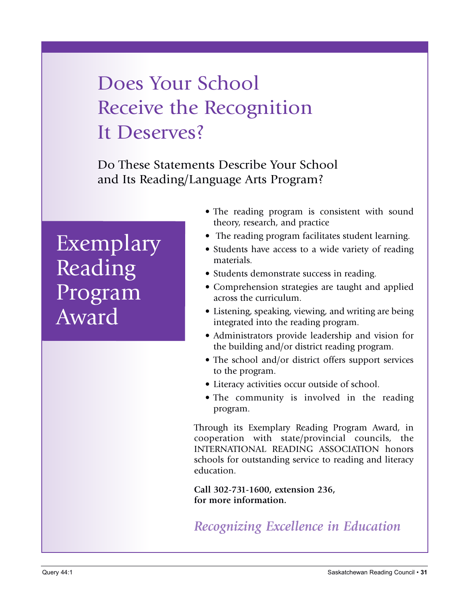## Does Your School Receive the Recognition It Deserves?

Do These Statements Describe Your School and Its Reading/Language Arts Program?

## Exemplary Reading Program Award

- The reading program is consistent with sound theory, research, and practice
- The reading program facilitates student learning.
- Students have access to a wide variety of reading materials.
- Students demonstrate success in reading.
- Comprehension strategies are taught and applied across the curriculum.
- Listening, speaking, viewing, and writing are being integrated into the reading program.
- Administrators provide leadership and vision for the building and/or district reading program.
- The school and/or district offers support services to the program.
- Literacy activities occur outside of school.
- The community is involved in the reading program.

Through its Exemplary Reading Program Award, in cooperation with state/provincial councils, the INTERNATIONAL READING ASSOCIATION honors schools for outstanding service to reading and literacy education.

**Call 302-731-1600, extension 236, for more information.**

*Recognizing Excellence in Education*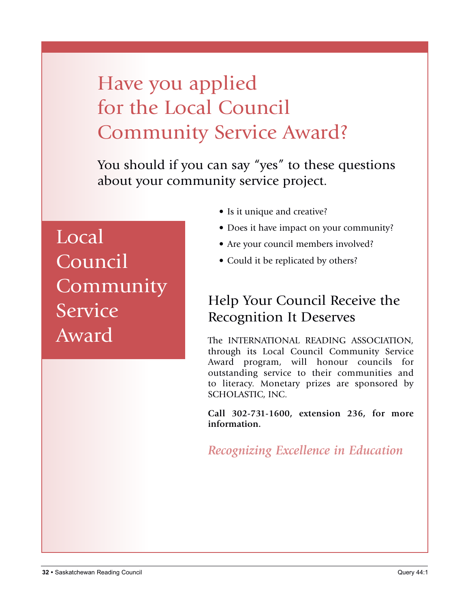## Have you applied for the Local Council Community Service Award?

You should if you can say "yes" to these questions about your community service project.

Local Council Community Service Award

- Is it unique and creative?
- Does it have impact on your community?
- Are your council members involved?
- Could it be replicated by others?

## Help Your Council Receive the Recognition It Deserves

The INTERNATIONAL READING ASSOCIATION, through its Local Council Community Service Award program, will honour councils for outstanding service to their communities and to literacy. Monetary prizes are sponsored by SCHOLASTIC, INC.

**Call 302-731-1600, extension 236, for more information.**

*Recognizing Excellence in Education*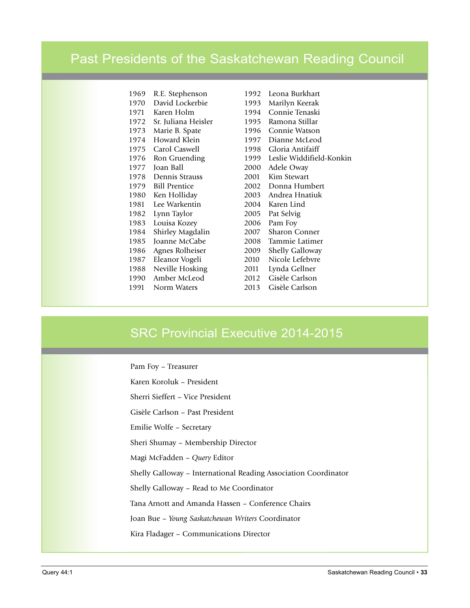### Past Presidents of the Saskatchewan Reading Council

| 1969 | R.E. Stephenson      |
|------|----------------------|
| 1970 | David Lockerbie      |
| 1971 | Karen Holm           |
| 1972 | Sr. Juliana Heisler  |
| 1973 | Marie B. Spate       |
| 1974 | Howard Klein         |
| 1975 | Carol Caswell        |
| 1976 | Ron Gruending        |
| 1977 | Joan Ball            |
| 1978 | Dennis Strauss       |
| 1979 | <b>Bill Prentice</b> |
| 1980 | Ken Holliday         |
| 1981 | Lee Warkentin        |
| 1982 | Lynn Taylor          |
| 1983 | Louisa Kozey         |
| 1984 | Shirley Magdalin     |
| 1985 | Joanne McCabe        |
| 1986 | Agnes Rolheiser      |
| 1987 | Eleanor Vogeli       |
| 1988 | Neville Hosking      |
| 1990 | Amber McLeod         |
| 1991 | Norm Waters          |

1992 Leona Burkhart 1993 Marilyn Keerak 1994 Connie Tenaski 1995 Ramona Stillar 1996 Connie Watson 1997 Dianne McLeod 1998 Gloria Antifaiff 1999 Leslie Widdifield-Konkin 2000 Adele Oway 2001 Kim Stewart 2002 Donna Humbert 2003 Andrea Hnatiuk 2004 Karen Lind 2005 Pat Selvig 2006 Pam Foy 2007 Sharon Conner 2008 Tammie Latimer 2009 Shelly Galloway 2010 Nicole Lefebvre 2011 Lynda Gellner 2012 Gisèle Carlson 2013 Gisèle Carlson

### SRC Provincial Executive 2014-2015

Pam Foy – Treasurer Karen Koroluk – President Sherri Sieffert – Vice President Gisèle Carlson – Past President Emilie Wolfe – Secretary Sheri Shumay – Membership Director Magi McFadden – *Query* Editor Shelly Galloway – International Reading Association Coordinator Shelly Galloway – Read to Me Coordinator Tana Arnott and Amanda Hassen – Conference Chairs Joan Bue – *Young Saskatchewan Writers* Coordinator Kira Fladager – Communications Director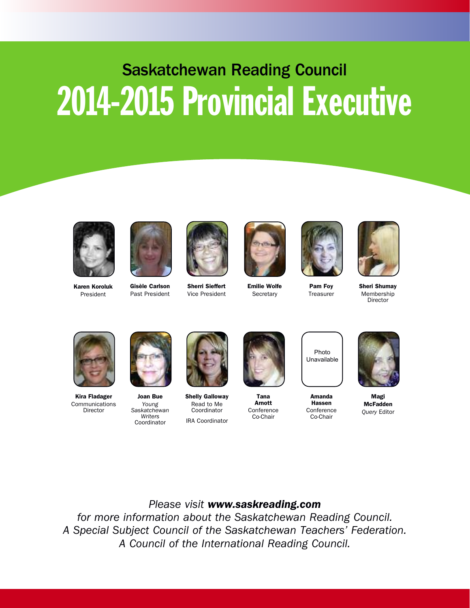# Saskatchewan Reading Council 2014-2015 Provincial Executive



**Karen Koroluk** President



**Gisèle Carlson** Past President



**Sherri Sieffert** Vice President



**Emilie Wolfe Secretary** 



**Pam Foy Treasurer** 

**Amanda Hassen** Conference Co-Chair

Photo Unavailable



**Sheri Shumay** Membership Director



**Kira Fladager** Communications Director



**Joan Bue** *Young Saskatchewan Writers* Coordinator



**Shelly Galloway** Read to Me Coordinator IRA Coordinator



**Tana Arnott** Conference Co-Chair



**Magi McFadden** *Query* Editor

#### *Please visit www.saskreading.com*

*for more information about the Saskatchewan Reading Council. A Special Subject Council of the Saskatchewan Teachers' Federation. A Council of the International Reading Council.*